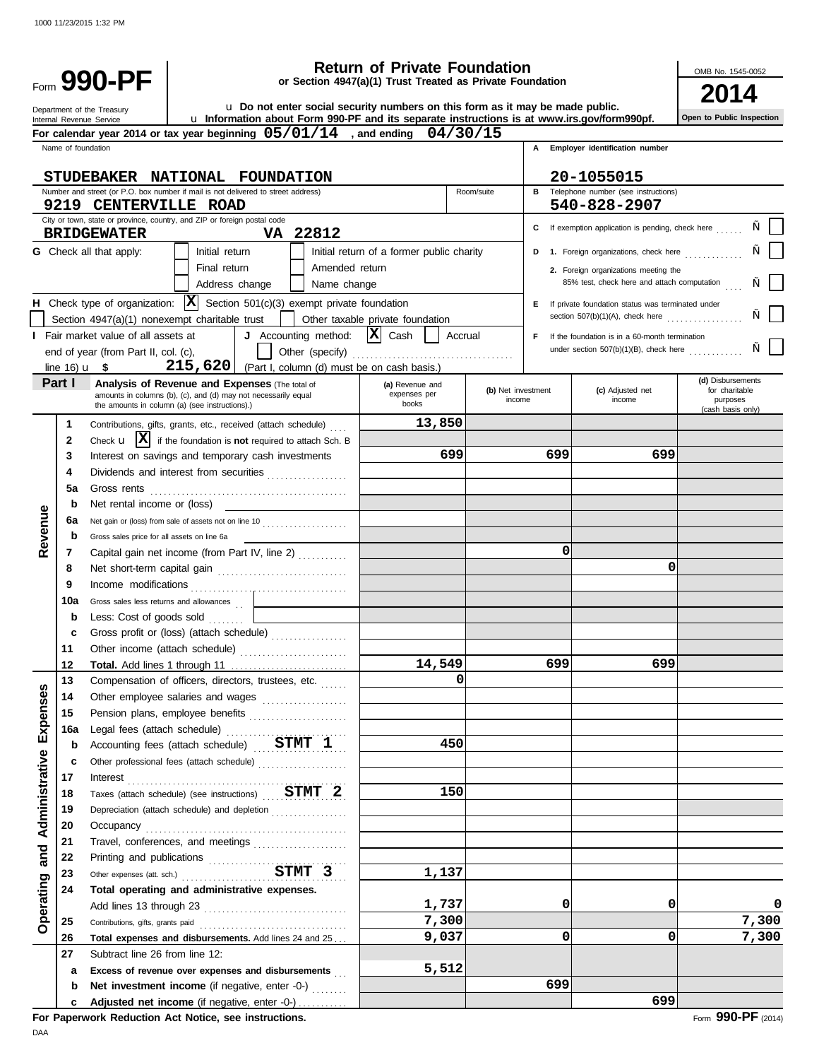Department of the Treasury Internal Revenue Service

Form 990-PF

# **990-PF by the community of Private Foundation**<br> **or Section 4947(a)(1) Trust Treated as Private Foundation**<br> **2014 Return of Private Foundation**

OMB No. 1545-0052

**Open to Public Inspection**

|  |  |  |  | La Do not enter social security numbers on this form as it may be made public. |  |
|--|--|--|--|--------------------------------------------------------------------------------|--|
|  |  |  |  |                                                                                |  |

u **Information about Form 990-PF and its separate instructions is at www.irs.gov/form990pf.**

|                |                    | For calendar year 2014 or tax year beginning $05/01/14$ , and ending $04/30/15$                                  |                                           |                    |     |                                                     |                               |
|----------------|--------------------|------------------------------------------------------------------------------------------------------------------|-------------------------------------------|--------------------|-----|-----------------------------------------------------|-------------------------------|
|                | Name of foundation |                                                                                                                  |                                           |                    |     | A Employer identification number                    |                               |
|                |                    | STUDEBAKER NATIONAL FOUNDATION                                                                                   |                                           |                    |     | 20-1055015                                          |                               |
|                |                    | Number and street (or P.O. box number if mail is not delivered to street address)                                |                                           | Room/suite         | в   | Telephone number (see instructions)                 |                               |
|                |                    | 9219 CENTERVILLE ROAD                                                                                            |                                           |                    |     | 540-828-2907                                        |                               |
|                |                    | City or town, state or province, country, and ZIP or foreign postal code                                         |                                           |                    | C   | If exemption application is pending, check here     |                               |
|                |                    | VA 22812<br><b>BRIDGEWATER</b>                                                                                   |                                           |                    |     |                                                     |                               |
|                |                    | <b>G</b> Check all that apply:<br>Initial return                                                                 | Initial return of a former public charity |                    |     | D 1. Foreign organizations, check here              |                               |
|                |                    | Final return<br>Amended return                                                                                   |                                           |                    |     | 2. Foreign organizations meeting the                |                               |
|                |                    | Address change<br>Name change                                                                                    |                                           |                    |     | 85% test, check here and attach computation         |                               |
|                |                    | H Check type of organization: $ \mathbf{X} $ Section 501(c)(3) exempt private foundation                         |                                           |                    |     | E If private foundation status was terminated under |                               |
|                |                    | Section 4947(a)(1) nonexempt charitable trust                                                                    | Other taxable private foundation          |                    |     | section $507(b)(1)(A)$ , check here                 |                               |
|                |                    | J Accounting method: $ \mathbf{X} $ Cash<br><b>I</b> Fair market value of all assets at                          | Accrual                                   |                    | F.  | If the foundation is in a 60-month termination      |                               |
|                |                    | end of year (from Part II, col. (c),                                                                             |                                           |                    |     | under section $507(b)(1)(B)$ , check here           |                               |
|                | line $16)$ u \$    | 215,620<br>(Part I, column (d) must be on cash basis.)                                                           |                                           |                    |     |                                                     | (d) Disbursements             |
|                | Part I             | Analysis of Revenue and Expenses (The total of<br>amounts in columns (b), (c), and (d) may not necessarily equal | (a) Revenue and<br>expenses per           | (b) Net investment |     | (c) Adjusted net                                    | for charitable                |
|                |                    | the amounts in column (a) (see instructions).)                                                                   | books                                     | income             |     | income                                              | purposes<br>(cash basis only) |
|                | 1                  | Contributions, gifts, grants, etc., received (attach schedule)                                                   | 13,850                                    |                    |     |                                                     |                               |
|                | 2                  | Check $\mathbf{u}$ $\mathbf{X}$ if the foundation is <b>not</b> required to attach Sch. B                        |                                           |                    |     |                                                     |                               |
|                | 3                  | Interest on savings and temporary cash investments                                                               | 699                                       |                    | 699 | 699                                                 |                               |
|                | 4                  | Dividends and interest from securities                                                                           |                                           |                    |     |                                                     |                               |
|                | 5a                 | Gross rents                                                                                                      |                                           |                    |     |                                                     |                               |
|                | b                  | Net rental income or (loss)                                                                                      |                                           |                    |     |                                                     |                               |
|                | 6а                 | Net gain or (loss) from sale of assets not on line 10                                                            |                                           |                    |     |                                                     |                               |
| Revenue        | b                  | Gross sales price for all assets on line 6a                                                                      |                                           |                    |     |                                                     |                               |
|                | 7                  | Capital gain net income (from Part IV, line 2)                                                                   |                                           |                    | 0   | 0                                                   |                               |
|                | 8                  |                                                                                                                  |                                           |                    |     |                                                     |                               |
|                | 9<br>10a           | Income modifications                                                                                             |                                           |                    |     |                                                     |                               |
|                | b                  | Gross sales less returns and allowances<br>Less: Cost of goods sold                                              |                                           |                    |     |                                                     |                               |
|                | c                  | .<br>Gross profit or (loss) (attach schedule)                                                                    |                                           |                    |     |                                                     |                               |
|                | 11                 |                                                                                                                  |                                           |                    |     |                                                     |                               |
|                | 12                 |                                                                                                                  | 14,549                                    |                    | 699 | 699                                                 |                               |
|                | 13                 | Compensation of officers, directors, trustees, etc.                                                              | $\Omega$                                  |                    |     |                                                     |                               |
| penses         | 14                 | Other employee salaries and wages                                                                                |                                           |                    |     |                                                     |                               |
|                | 15                 | Pension plans, employee benefits                                                                                 |                                           |                    |     |                                                     |                               |
| $\mathbf{E}$   | 16a                | Legal fees (attach schedule)                                                                                     |                                           |                    |     |                                                     |                               |
|                | b                  | Accounting fees (attach schedule) STMT 1                                                                         | 450                                       |                    |     |                                                     |                               |
|                | c                  | Other professional fees (attach schedule)                                                                        |                                           |                    |     |                                                     |                               |
|                | 17                 | Interest                                                                                                         |                                           |                    |     |                                                     |                               |
| Administrative | 18                 | Taxes (attach schedule) (see instructions) $STMT$ 2                                                              | 150                                       |                    |     |                                                     |                               |
|                | 19                 | Depreciation (attach schedule) and depletion                                                                     |                                           |                    |     |                                                     |                               |
|                | 20<br>21           | Occupancy<br>Travel, conferences, and meetings                                                                   |                                           |                    |     |                                                     |                               |
| and            | 22                 |                                                                                                                  |                                           |                    |     |                                                     |                               |
|                | 23                 | Printing and publications<br>Other expenses (att. sch.)<br>COMERCIAL SCHAPT 3                                    | 1,137                                     |                    |     |                                                     |                               |
| Operating      | 24                 | Total operating and administrative expenses.                                                                     |                                           |                    |     |                                                     |                               |
|                |                    |                                                                                                                  | 1,737                                     |                    | 0   | 0                                                   | 0                             |
|                | 25                 | Contributions, gifts, grants paid                                                                                | 7,300                                     |                    |     |                                                     | 7,300                         |
|                | 26                 | Total expenses and disbursements. Add lines 24 and 25                                                            | 9,037                                     |                    | 0   | $\Omega$                                            | 7,300                         |
|                | 27                 | Subtract line 26 from line 12:                                                                                   |                                           |                    |     |                                                     |                               |
|                | а                  | Excess of revenue over expenses and disbursements                                                                | 5,512                                     |                    |     |                                                     |                               |
|                | b                  | Net investment income (if negative, enter -0-)                                                                   |                                           |                    | 699 |                                                     |                               |
|                |                    | Adjusted net income (if negative, enter -0-)                                                                     |                                           |                    |     | 699                                                 |                               |

**For Paperwork Reduction Act Notice, see instructions.**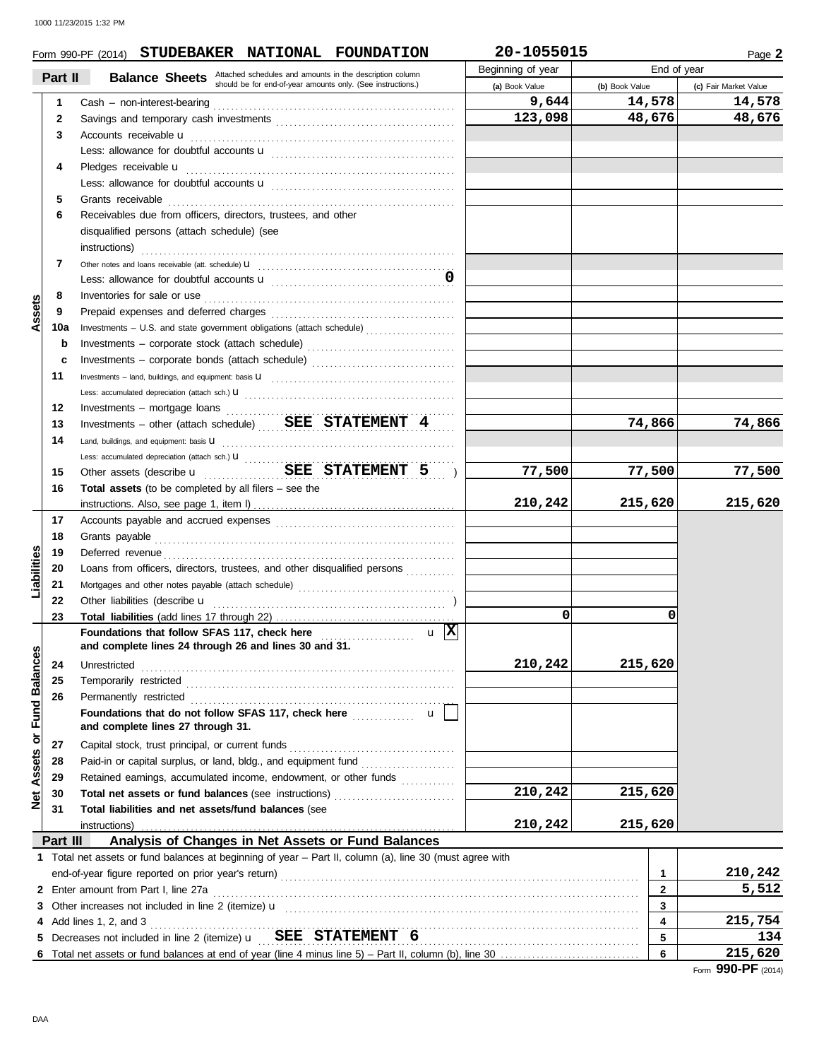|                             |              | Form 990-PF (2014) STUDEBAKER NATIONAL FOUNDATION                                                                                                                                                                                   | 20-1055015        |                | Page 2                |
|-----------------------------|--------------|-------------------------------------------------------------------------------------------------------------------------------------------------------------------------------------------------------------------------------------|-------------------|----------------|-----------------------|
|                             | Part II      |                                                                                                                                                                                                                                     | Beginning of year | End of year    |                       |
|                             |              | <b>Balance Sheets</b> Attached schedules and amounts in the description column should be for end-of-year amounts only. (See instructions.)                                                                                          | (a) Book Value    | (b) Book Value | (c) Fair Market Value |
|                             | $\mathbf 1$  |                                                                                                                                                                                                                                     | 9,644             | 14,578         | 14,578                |
|                             | $\mathbf{2}$ |                                                                                                                                                                                                                                     | 123,098           | 48,676         | 48,676                |
|                             | 3            | Accounts receivable u                                                                                                                                                                                                               |                   |                |                       |
|                             |              |                                                                                                                                                                                                                                     |                   |                |                       |
|                             | 4            | Pledges receivable <b>u</b>                                                                                                                                                                                                         |                   |                |                       |
|                             |              |                                                                                                                                                                                                                                     |                   |                |                       |
|                             | 5            | Grants receivable                                                                                                                                                                                                                   |                   |                |                       |
|                             | 6            | Receivables due from officers, directors, trustees, and other                                                                                                                                                                       |                   |                |                       |
|                             |              | disqualified persons (attach schedule) (see                                                                                                                                                                                         |                   |                |                       |
|                             |              | instructions)                                                                                                                                                                                                                       |                   |                |                       |
|                             | 7            |                                                                                                                                                                                                                                     |                   |                |                       |
|                             |              |                                                                                                                                                                                                                                     |                   |                |                       |
|                             | 8            | Inventories for sale or use <i>contained a contained a contained a contained a</i> contained a contact of the contained and contained a contact of the contact of the contact of the contact of the contact of the contact of the c |                   |                |                       |
| Assets                      | 9            |                                                                                                                                                                                                                                     |                   |                |                       |
|                             | 10a          | Investments - U.S. and state government obligations (attach schedule)                                                                                                                                                               |                   |                |                       |
|                             | b            | Investments - corporate stock (attach schedule)                                                                                                                                                                                     |                   |                |                       |
|                             | c            | Investments - corporate bonds (attach schedule)                                                                                                                                                                                     |                   |                |                       |
|                             | 11           |                                                                                                                                                                                                                                     |                   |                |                       |
|                             |              |                                                                                                                                                                                                                                     |                   |                |                       |
|                             | 12           |                                                                                                                                                                                                                                     |                   |                |                       |
|                             | 13           | Investments - other (attach schedule) $BEE$ $STATEMENT$ 4                                                                                                                                                                           |                   | 74,866         | 74,866                |
|                             | 14           | Land, buildings, and equipment: basis U                                                                                                                                                                                             |                   |                |                       |
|                             |              |                                                                                                                                                                                                                                     |                   |                |                       |
|                             | 15           | Other assets (describe <b>u</b> SEE STATEMENT 5<br>$\overline{\phantom{a}}$                                                                                                                                                         | 77,500            | 77,500         | 77,500                |
|                             | 16           | <b>Total assets</b> (to be completed by all filers $-$ see the                                                                                                                                                                      |                   |                |                       |
|                             |              |                                                                                                                                                                                                                                     | 210,242           | 215,620        | 215,620               |
|                             | 17           |                                                                                                                                                                                                                                     |                   |                |                       |
|                             | 18           | Grants payable                                                                                                                                                                                                                      |                   |                |                       |
| Liabilities                 | 19           | Deferred revenue                                                                                                                                                                                                                    |                   |                |                       |
|                             | 20           | Loans from officers, directors, trustees, and other disqualified persons                                                                                                                                                            |                   |                |                       |
|                             | 21           |                                                                                                                                                                                                                                     |                   |                |                       |
|                             | 22           | Other liabilities (describe u                                                                                                                                                                                                       |                   |                |                       |
|                             | 23           |                                                                                                                                                                                                                                     | 0                 | 0              |                       |
|                             |              | $u \mathbf{X}$<br>and complete lines 24 through 26 and lines 30 and 31.                                                                                                                                                             |                   |                |                       |
| Net Assets or Fund Balances | 24           |                                                                                                                                                                                                                                     | 210,242           | 215,620        |                       |
|                             | 25           | Unrestricted<br>Temporarily restricted                                                                                                                                                                                              |                   |                |                       |
|                             | 26           | Permanently restricted                                                                                                                                                                                                              |                   |                |                       |
|                             |              | Foundations that do not follow SFAS 117, check here<br>$\mathsf{u}$                                                                                                                                                                 |                   |                |                       |
|                             |              | and complete lines 27 through 31.                                                                                                                                                                                                   |                   |                |                       |
|                             | 27           | Capital stock, trust principal, or current funds                                                                                                                                                                                    |                   |                |                       |
|                             | 28           | Paid-in or capital surplus, or land, bldg., and equipment fund<br><u> 1986 - Johann Stoff, Amerikaansk kanton (</u>                                                                                                                 |                   |                |                       |
|                             | 29           | Retained earnings, accumulated income, endowment, or other funds                                                                                                                                                                    |                   |                |                       |
|                             | 30           | Total net assets or fund balances (see instructions)                                                                                                                                                                                | 210,242           | 215,620        |                       |
|                             | 31           | Total liabilities and net assets/fund balances (see                                                                                                                                                                                 |                   |                |                       |
|                             |              | instructions)                                                                                                                                                                                                                       | 210,242           | 215,620        |                       |
|                             | Part III     | Analysis of Changes in Net Assets or Fund Balances                                                                                                                                                                                  |                   |                |                       |
|                             |              | 1 Total net assets or fund balances at beginning of year - Part II, column (a), line 30 (must agree with                                                                                                                            |                   |                |                       |
|                             |              |                                                                                                                                                                                                                                     |                   | 1              | 210,242               |
|                             |              | 2 Enter amount from Part I, line 27a                                                                                                                                                                                                |                   | $\mathbf{2}$   | 5,512                 |
|                             |              |                                                                                                                                                                                                                                     |                   | 3              |                       |
|                             |              | 4 Add lines 1, 2, and 3                                                                                                                                                                                                             |                   | 4              | 215,754               |
|                             |              |                                                                                                                                                                                                                                     |                   | 5              | 134                   |
|                             |              |                                                                                                                                                                                                                                     |                   | 6              | 215,620               |
|                             |              |                                                                                                                                                                                                                                     |                   |                | Form 990-PF (2014)    |
|                             |              |                                                                                                                                                                                                                                     |                   |                |                       |
|                             |              |                                                                                                                                                                                                                                     |                   |                |                       |
| DAA                         |              |                                                                                                                                                                                                                                     |                   |                |                       |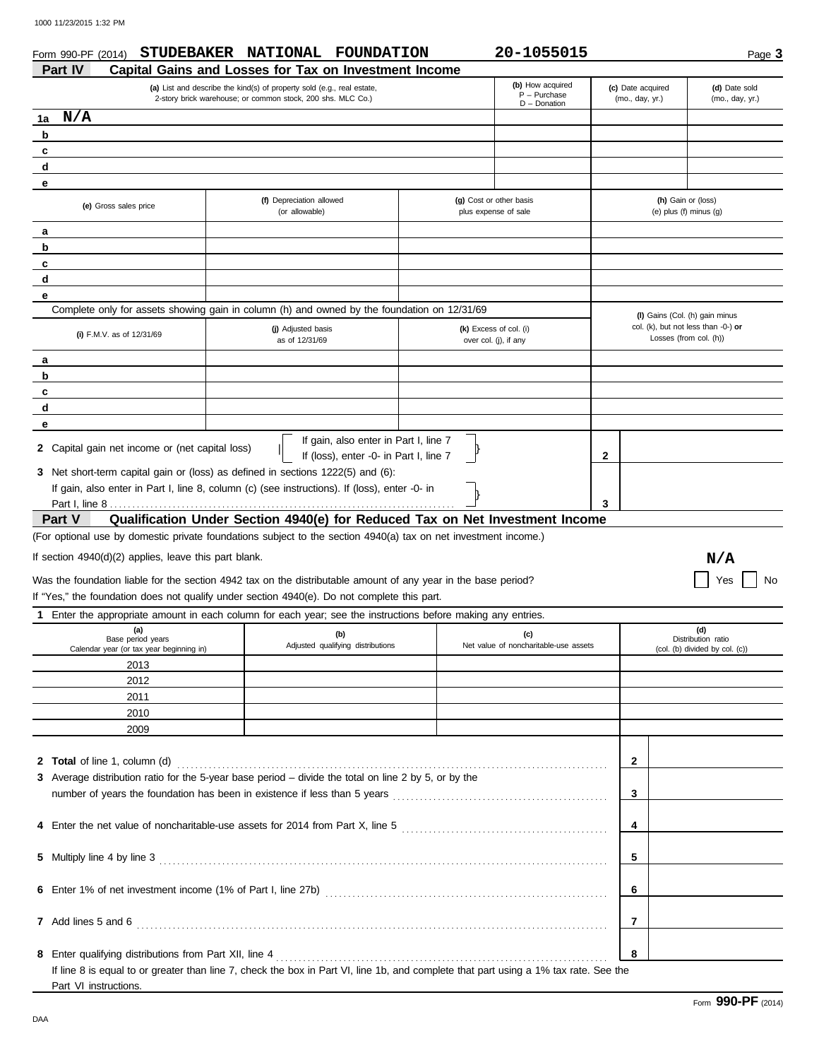| Form 990-PF (2014)<br>Part IV                                        | STUDEBAKER NATIONAL FOUNDATION<br>Capital Gains and Losses for Tax on Investment Income                                                                                                                                    | 20-1055015                                            |                                      | Page 3                                                                                          |
|----------------------------------------------------------------------|----------------------------------------------------------------------------------------------------------------------------------------------------------------------------------------------------------------------------|-------------------------------------------------------|--------------------------------------|-------------------------------------------------------------------------------------------------|
|                                                                      | (a) List and describe the kind(s) of property sold (e.g., real estate,<br>2-story brick warehouse; or common stock, 200 shs. MLC Co.)                                                                                      | (b) How acquired<br>$P - P$ urchase<br>$D$ – Donation | (c) Date acquired<br>(mo., day, yr.) | (d) Date sold<br>(mo., day, yr.)                                                                |
| N/A<br>1a                                                            |                                                                                                                                                                                                                            |                                                       |                                      |                                                                                                 |
| b                                                                    |                                                                                                                                                                                                                            |                                                       |                                      |                                                                                                 |
| c                                                                    |                                                                                                                                                                                                                            |                                                       |                                      |                                                                                                 |
| d                                                                    |                                                                                                                                                                                                                            |                                                       |                                      |                                                                                                 |
| е                                                                    |                                                                                                                                                                                                                            |                                                       |                                      |                                                                                                 |
| (e) Gross sales price                                                | (f) Depreciation allowed<br>(or allowable)                                                                                                                                                                                 | (g) Cost or other basis<br>plus expense of sale       |                                      | (h) Gain or (loss)<br>(e) plus (f) minus $(q)$                                                  |
| a                                                                    |                                                                                                                                                                                                                            |                                                       |                                      |                                                                                                 |
| b                                                                    |                                                                                                                                                                                                                            |                                                       |                                      |                                                                                                 |
| c                                                                    |                                                                                                                                                                                                                            |                                                       |                                      |                                                                                                 |
| d                                                                    |                                                                                                                                                                                                                            |                                                       |                                      |                                                                                                 |
| е                                                                    | Complete only for assets showing gain in column (h) and owned by the foundation on 12/31/69                                                                                                                                |                                                       |                                      |                                                                                                 |
| (i) F.M.V. as of 12/31/69                                            | (j) Adjusted basis                                                                                                                                                                                                         | (k) Excess of col. (i)                                |                                      | (I) Gains (Col. (h) gain minus<br>col. (k), but not less than -0-) or<br>Losses (from col. (h)) |
|                                                                      | as of 12/31/69                                                                                                                                                                                                             | over col. (j), if any                                 |                                      |                                                                                                 |
| a                                                                    |                                                                                                                                                                                                                            |                                                       |                                      |                                                                                                 |
| b                                                                    |                                                                                                                                                                                                                            |                                                       |                                      |                                                                                                 |
| c<br>d                                                               |                                                                                                                                                                                                                            |                                                       |                                      |                                                                                                 |
| е                                                                    |                                                                                                                                                                                                                            |                                                       |                                      |                                                                                                 |
| 2 Capital gain net income or (net capital loss)                      | If (loss), enter -0- in Part I, line 7<br>3 Net short-term capital gain or (loss) as defined in sections 1222(5) and (6):<br>If gain, also enter in Part I, line 8, column (c) (see instructions). If (loss), enter -0- in |                                                       | 2<br>3                               |                                                                                                 |
| <b>Part V</b>                                                        | Qualification Under Section 4940(e) for Reduced Tax on Net Investment Income                                                                                                                                               |                                                       |                                      |                                                                                                 |
|                                                                      | (For optional use by domestic private foundations subject to the section 4940(a) tax on net investment income.)                                                                                                            |                                                       |                                      |                                                                                                 |
| If section 4940(d)(2) applies, leave this part blank.                |                                                                                                                                                                                                                            |                                                       |                                      |                                                                                                 |
|                                                                      |                                                                                                                                                                                                                            |                                                       |                                      | N/A                                                                                             |
|                                                                      | Was the foundation liable for the section 4942 tax on the distributable amount of any year in the base period?<br>If "Yes," the foundation does not qualify under section 4940(e). Do not complete this part.              |                                                       |                                      | Yes<br>No                                                                                       |
|                                                                      | Enter the appropriate amount in each column for each year; see the instructions before making any entries.                                                                                                                 |                                                       |                                      |                                                                                                 |
| (a)<br>Base period years<br>Calendar year (or tax year beginning in) | (b)<br>Adjusted qualifying distributions                                                                                                                                                                                   | (c)<br>Net value of noncharitable-use assets          |                                      | (d)<br>Distribution ratio<br>(col. (b) divided by col. (c))                                     |
| 2013                                                                 |                                                                                                                                                                                                                            |                                                       |                                      |                                                                                                 |
| 2012                                                                 |                                                                                                                                                                                                                            |                                                       |                                      |                                                                                                 |
| 2011                                                                 |                                                                                                                                                                                                                            |                                                       |                                      |                                                                                                 |
| 2010                                                                 |                                                                                                                                                                                                                            |                                                       |                                      |                                                                                                 |
| 2009                                                                 |                                                                                                                                                                                                                            |                                                       |                                      |                                                                                                 |
|                                                                      |                                                                                                                                                                                                                            |                                                       |                                      |                                                                                                 |
| 2 Total of line 1, column (d)                                        | 3 Average distribution ratio for the 5-year base period - divide the total on line 2 by 5, or by the                                                                                                                       |                                                       | $\mathbf{2}$                         |                                                                                                 |
|                                                                      |                                                                                                                                                                                                                            |                                                       | 3                                    |                                                                                                 |
|                                                                      | 4 Enter the net value of noncharitable-use assets for 2014 from Part X, line 5                                                                                                                                             |                                                       | 4                                    |                                                                                                 |
|                                                                      |                                                                                                                                                                                                                            |                                                       |                                      |                                                                                                 |
| 5 Multiply line 4 by line 3                                          |                                                                                                                                                                                                                            |                                                       | 5                                    |                                                                                                 |

**6 6** Enter 1% of net investment income (1% of Part I, line 27b) . . . . . . . . . . . . . . . . . . . . . . . . . . . . . . . . . . . . . . . . . . . . . . . . . . . . . . . . . . . . . . .

**7 7** Add lines 5 and 6 . . . . . . . . . . . . . . . . . . . . . . . . . . . . . . . . . . . . . . . . . . . . . . . . . . . . . . . . . . . . . . . . . . . . . . . . . . . . . . . . . . . . . . . . . . . . . . . . . . . . . . . . .

**8 8** Enter qualifying distributions from Part XII, line 4 . . . . . . . . . . . . . . . . . . . . . . . . . . . . . . . . . . . . . . . . . . . . . . . . . . . . . . . . . . . . . . . . . . . . . . . . . .

If line 8 is equal to or greater than line 7, check the box in Part VI, line 1b, and complete that part using a 1% tax rate. See the

DAA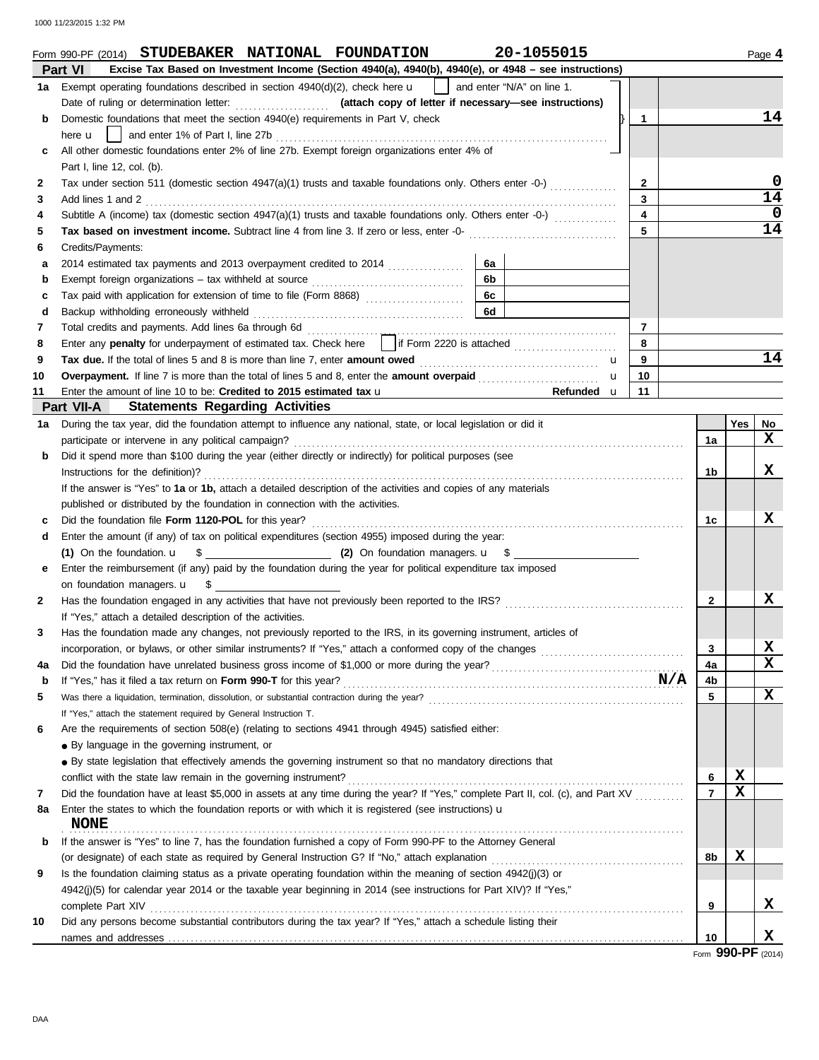1000 11/23/2015 1:32 PM

|    | Form 990-PF (2014) STUDEBAKER NATIONAL FOUNDATION                                                                                 | 20-1055015 |   |                |  |                |             | Page 4             |
|----|-----------------------------------------------------------------------------------------------------------------------------------|------------|---|----------------|--|----------------|-------------|--------------------|
|    | Excise Tax Based on Investment Income (Section 4940(a), 4940(b), 4940(e), or 4948 - see instructions)<br><b>Part VI</b>           |            |   |                |  |                |             |                    |
| 1a | Exempt operating foundations described in section $4940(d)(2)$ , check here $\mathbf{u}$   and enter "N/A" on line 1.             |            |   |                |  |                |             |                    |
|    |                                                                                                                                   |            |   |                |  |                |             |                    |
| b  | Domestic foundations that meet the section 4940(e) requirements in Part V, check<br>1                                             |            |   |                |  |                |             | 14                 |
|    | here <b>u</b>                                                                                                                     |            |   |                |  |                |             |                    |
| c  | All other domestic foundations enter 2% of line 27b. Exempt foreign organizations enter 4% of                                     |            |   |                |  |                |             |                    |
|    | Part I, line 12, col. (b).                                                                                                        |            |   |                |  |                |             |                    |
| 2  | Tax under section 511 (domestic section 4947(a)(1) trusts and taxable foundations only. Others enter -0-)                         |            |   | $\mathbf{2}$   |  |                |             | 0                  |
| 3  | Add lines 1 and 2                                                                                                                 |            |   | 3              |  |                |             | 14                 |
| 4  | Subtitle A (income) tax (domestic section $4947(a)(1)$ trusts and taxable foundations only. Others enter -0-) $(1, 2, 3, 3, 4)$   |            |   | $\overline{4}$ |  |                |             | 0                  |
| 5  |                                                                                                                                   |            |   | $\overline{5}$ |  |                |             | $\overline{1}4$    |
| 6  | Credits/Payments:                                                                                                                 |            |   |                |  |                |             |                    |
| a  |                                                                                                                                   | 6a         |   |                |  |                |             |                    |
| b  |                                                                                                                                   | 6b         |   |                |  |                |             |                    |
| c  |                                                                                                                                   | 6c         |   |                |  |                |             |                    |
| d  |                                                                                                                                   | 6d         |   |                |  |                |             |                    |
| 7  |                                                                                                                                   |            |   | $\overline{7}$ |  |                |             |                    |
| 8  | Enter any penalty for underpayment of estimated tax. Check here     if Form 2220 is attached                                      |            |   | 8              |  |                |             |                    |
| 9  |                                                                                                                                   |            | u | 9              |  |                |             | 14                 |
| 10 | Overpayment. If line 7 is more than the total of lines 5 and 8, enter the amount overpaid                                         |            | u | 10             |  |                |             |                    |
| 11 | Enter the amount of line 10 to be: Credited to 2015 estimated tax u                                                               | Refunded u |   | 11             |  |                |             |                    |
|    | <b>Part VII-A</b> Statements Regarding Activities                                                                                 |            |   |                |  |                |             |                    |
| 1a | During the tax year, did the foundation attempt to influence any national, state, or local legislation or did it                  |            |   |                |  |                | Yes         | No                 |
|    |                                                                                                                                   |            |   |                |  | 1a             |             | x                  |
| b  | Did it spend more than \$100 during the year (either directly or indirectly) for political purposes (see                          |            |   |                |  |                |             |                    |
|    | Instructions for the definition)?                                                                                                 |            |   |                |  | 1b             |             | x                  |
|    | If the answer is "Yes" to 1a or 1b, attach a detailed description of the activities and copies of any materials                   |            |   |                |  |                |             |                    |
|    | published or distributed by the foundation in connection with the activities.                                                     |            |   |                |  |                |             |                    |
| c  |                                                                                                                                   |            |   |                |  | 1c             |             | x                  |
| d  | Enter the amount (if any) of tax on political expenditures (section 4955) imposed during the year:                                |            |   |                |  |                |             |                    |
|    |                                                                                                                                   |            |   |                |  |                |             |                    |
| е  | Enter the reimbursement (if any) paid by the foundation during the year for political expenditure tax imposed                     |            |   |                |  |                |             |                    |
|    | on foundation managers. $\cup$ \$                                                                                                 |            |   |                |  |                |             |                    |
| 2  |                                                                                                                                   |            |   |                |  | $\mathbf{2}$   |             | x                  |
|    | If "Yes," attach a detailed description of the activities.                                                                        |            |   |                |  |                |             |                    |
|    | Has the foundation made any changes, not previously reported to the IRS, in its governing instrument, articles of                 |            |   |                |  |                |             |                    |
|    |                                                                                                                                   |            |   |                |  | 3              |             | X                  |
| 4a |                                                                                                                                   |            |   |                |  | 4a             |             | x                  |
| b  | If "Yes," has it filed a tax return on Form 990-T for this year?<br>M/A                                                           |            |   |                |  | 4b             |             |                    |
| 5  |                                                                                                                                   |            |   |                |  | 5              |             | x                  |
|    | If "Yes," attach the statement required by General Instruction T.                                                                 |            |   |                |  |                |             |                    |
| 6  | Are the requirements of section 508(e) (relating to sections 4941 through 4945) satisfied either:                                 |            |   |                |  |                |             |                    |
|    | • By language in the governing instrument, or                                                                                     |            |   |                |  |                |             |                    |
|    | • By state legislation that effectively amends the governing instrument so that no mandatory directions that                      |            |   |                |  |                |             |                    |
|    |                                                                                                                                   |            |   |                |  | 6              | X           |                    |
| 7  | Did the foundation have at least \$5,000 in assets at any time during the year? If "Yes," complete Part II, col. (c), and Part XV |            |   |                |  | $\overline{7}$ | $\mathbf x$ |                    |
| 8a | Enter the states to which the foundation reports or with which it is registered (see instructions) $\mathbf u$                    |            |   |                |  |                |             |                    |
|    | <b>NONE</b>                                                                                                                       |            |   |                |  |                |             |                    |
| b  | If the answer is "Yes" to line 7, has the foundation furnished a copy of Form 990-PF to the Attorney General                      |            |   |                |  |                |             |                    |
|    | (or designate) of each state as required by General Instruction G? If "No," attach explanation                                    |            |   |                |  | 8b             | X           |                    |
| 9  | Is the foundation claiming status as a private operating foundation within the meaning of section 4942(j)(3) or                   |            |   |                |  |                |             |                    |
|    | 4942(j)(5) for calendar year 2014 or the taxable year beginning in 2014 (see instructions for Part XIV)? If "Yes,"                |            |   |                |  |                |             |                    |
|    |                                                                                                                                   |            |   |                |  | 9              |             | x                  |
| 10 | Did any persons become substantial contributors during the tax year? If "Yes," attach a schedule listing their                    |            |   |                |  |                |             |                    |
|    |                                                                                                                                   |            |   |                |  | 10             |             | X                  |
|    |                                                                                                                                   |            |   |                |  |                |             | $QQ$ $Q$ $QQ$ $QQ$ |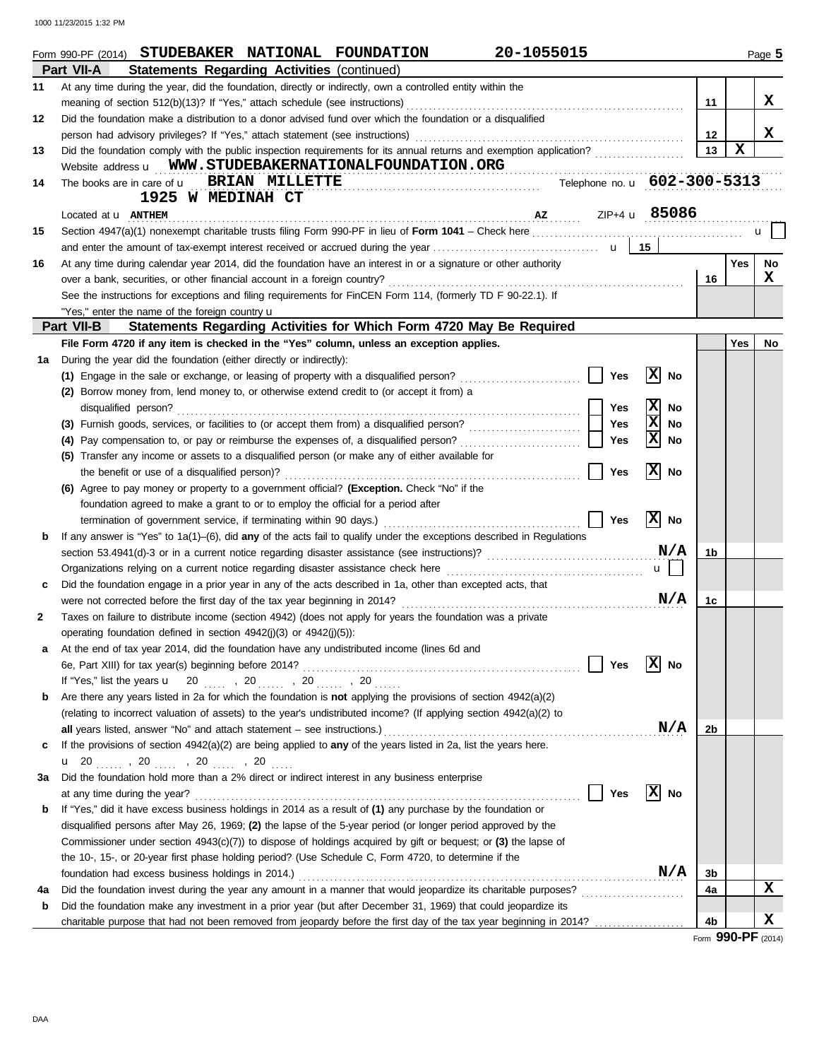1000 11/23/2015 1:32 PM

|    | 20-1055015<br>Form 990-PF (2014) STUDEBAKER NATIONAL FOUNDATION                                                           |                    |             | Page 5 |
|----|---------------------------------------------------------------------------------------------------------------------------|--------------------|-------------|--------|
|    | Part VII-A<br><b>Statements Regarding Activities (continued)</b>                                                          |                    |             |        |
| 11 | At any time during the year, did the foundation, directly or indirectly, own a controlled entity within the               |                    |             |        |
|    | meaning of section 512(b)(13)? If "Yes," attach schedule (see instructions)                                               | 11                 |             | X      |
| 12 | Did the foundation make a distribution to a donor advised fund over which the foundation or a disqualified                |                    |             |        |
|    |                                                                                                                           | $12 \,$            |             | X      |
| 13 | Did the foundation comply with the public inspection requirements for its annual returns and exemption application?       | 13                 | $\mathbf x$ |        |
|    | Website address <b>u</b> WWW.STUDEBAKERNATIONALFOUNDATION.ORG                                                             |                    |             |        |
| 14 | Telephone no. u 602-300-5313<br>The books are in care of <b>u</b> BRIAN MILLETTE                                          |                    |             |        |
|    | 1925 W MEDINAH CT                                                                                                         |                    |             |        |
|    | ZIP+4 <b>u</b> 85086<br>Located at <b>U</b> ANTHEM                                                                        |                    |             |        |
| 15 |                                                                                                                           |                    |             | u.     |
|    |                                                                                                                           |                    |             |        |
| 16 | At any time during calendar year 2014, did the foundation have an interest in or a signature or other authority           |                    | <b>Yes</b>  | No     |
|    | over a bank, securities, or other financial account in a foreign country?                                                 | 16                 |             | X      |
|    | See the instructions for exceptions and filing requirements for FinCEN Form 114, (formerly TD F 90-22.1). If              |                    |             |        |
|    | "Yes," enter the name of the foreign country <b>u</b>                                                                     |                    |             |        |
|    | Part VII-B<br>Statements Regarding Activities for Which Form 4720 May Be Required                                         |                    |             |        |
|    | File Form 4720 if any item is checked in the "Yes" column, unless an exception applies.                                   |                    | Yes         | No     |
| 1a | During the year did the foundation (either directly or indirectly):                                                       |                    |             |        |
|    | x<br>(1) Engage in the sale or exchange, or leasing of property with a disqualified person?<br>Yes<br>No                  |                    |             |        |
|    | (2) Borrow money from, lend money to, or otherwise extend credit to (or accept it from) a                                 |                    |             |        |
|    | x<br>Yes<br>No<br>disqualified person?                                                                                    |                    |             |        |
|    | ⊠<br>Yes<br>(3) Furnish goods, services, or facilities to (or accept them from) a disqualified person?<br>No              |                    |             |        |
|    | Ιx<br>Yes<br>(4) Pay compensation to, or pay or reimburse the expenses of, a disqualified person?<br>No                   |                    |             |        |
|    | (5) Transfer any income or assets to a disqualified person (or make any of either available for                           |                    |             |        |
|    | X<br>Yes<br>No<br>the benefit or use of a disqualified person)?                                                           |                    |             |        |
|    | (6) Agree to pay money or property to a government official? (Exception. Check "No" if the                                |                    |             |        |
|    | foundation agreed to make a grant to or to employ the official for a period after                                         |                    |             |        |
|    | x <br>Yes<br><b>No</b><br>termination of government service, if terminating within 90 days.)                              |                    |             |        |
| b  | If any answer is "Yes" to $1a(1)$ –(6), did any of the acts fail to qualify under the exceptions described in Regulations |                    |             |        |
|    | N/A                                                                                                                       | 1b                 |             |        |
|    | $u$    <br>Organizations relying on a current notice regarding disaster assistance check here                             |                    |             |        |
| с  | Did the foundation engage in a prior year in any of the acts described in 1a, other than excepted acts, that              |                    |             |        |
|    | N/A<br>were not corrected before the first day of the tax year beginning in 2014?                                         | 1c                 |             |        |
| 2  | Taxes on failure to distribute income (section 4942) (does not apply for years the foundation was a private               |                    |             |        |
|    | operating foundation defined in section 4942(j)(3) or 4942(j)(5)):                                                        |                    |             |        |
|    | At the end of tax year 2014, did the foundation have any undistributed income (lines 6d and                               |                    |             |        |
|    | X<br>Yes<br>6e, Part XIII) for tax year(s) beginning before 2014?<br>No                                                   |                    |             |        |
|    | If "Yes," list the years $\frac{u}{20}$ , 20  , 20  , 20                                                                  |                    |             |        |
| b  | Are there any years listed in 2a for which the foundation is <b>not</b> applying the provisions of section $4942(a)(2)$   |                    |             |        |
|    | (relating to incorrect valuation of assets) to the year's undistributed income? (If applying section 4942(a)(2) to        |                    |             |        |
|    | N/A<br>all years listed, answer "No" and attach statement – see instructions.)                                            | 2b                 |             |        |
| c  | If the provisions of section 4942(a)(2) are being applied to any of the years listed in 2a, list the years here.          |                    |             |        |
|    |                                                                                                                           |                    |             |        |
| За | Did the foundation hold more than a 2% direct or indirect interest in any business enterprise                             |                    |             |        |
|    | X<br>Yes<br>at any time during the year?<br>No                                                                            |                    |             |        |
| b  | If "Yes," did it have excess business holdings in 2014 as a result of (1) any purchase by the foundation or               |                    |             |        |
|    | disqualified persons after May 26, 1969; (2) the lapse of the 5-year period (or longer period approved by the             |                    |             |        |
|    | Commissioner under section $4943(c)(7)$ to dispose of holdings acquired by gift or bequest; or (3) the lapse of           |                    |             |        |
|    | the 10-, 15-, or 20-year first phase holding period? (Use Schedule C, Form 4720, to determine if the                      |                    |             |        |
|    | N/A<br>foundation had excess business holdings in 2014.)                                                                  | 3b                 |             |        |
| 4a | Did the foundation invest during the year any amount in a manner that would jeopardize its charitable purposes?           | 4a                 |             | x      |
| b  | Did the foundation make any investment in a prior year (but after December 31, 1969) that could jeopardize its            |                    |             |        |
|    | charitable purpose that had not been removed from jeopardy before the first day of the tax year beginning in 2014?        | 4 <sub>b</sub>     |             | X      |
|    |                                                                                                                           | Form 990-PF (2014) |             |        |

DAA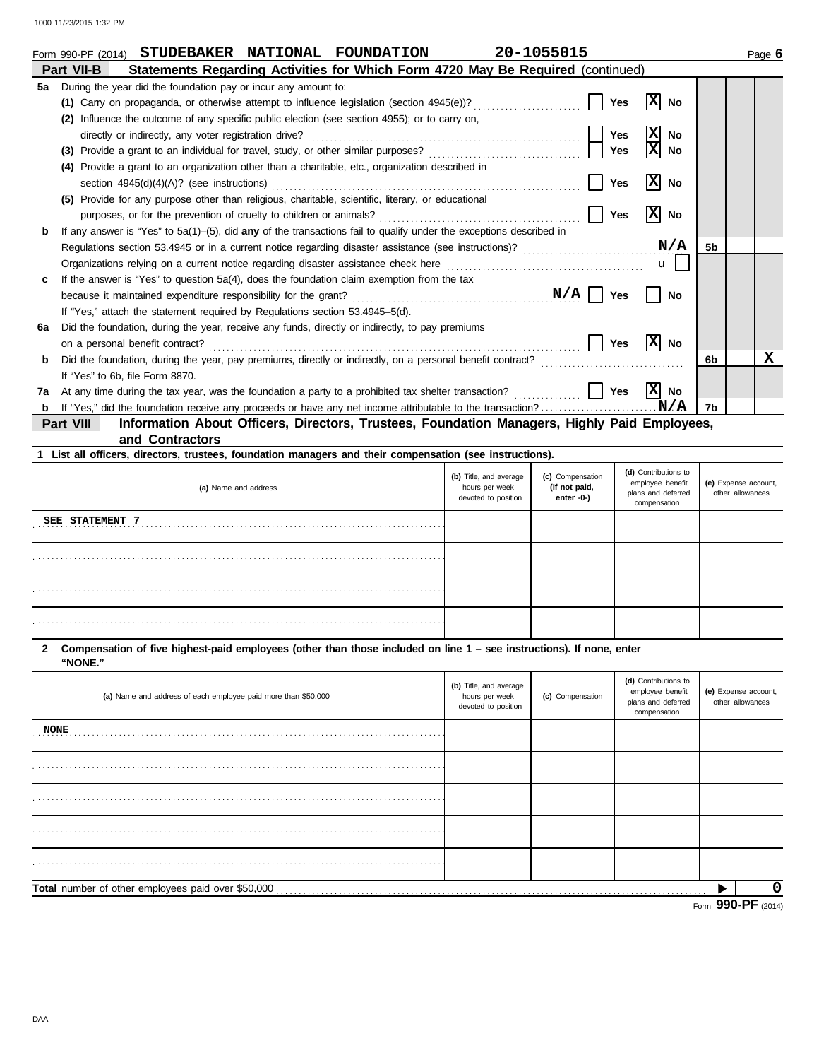|    | 20-1055015<br>STUDEBAKER NATIONAL<br><b>FOUNDATION</b><br>Form 990-PF (2014)                                                   |                | Page 6 |
|----|--------------------------------------------------------------------------------------------------------------------------------|----------------|--------|
|    | Statements Regarding Activities for Which Form 4720 May Be Required (continued)<br>Part VII-B                                  |                |        |
| 5а | During the year did the foundation pay or incur any amount to:                                                                 |                |        |
|    | x<br>(1) Carry on propaganda, or otherwise attempt to influence legislation (section 4945(e))?<br>Yes<br>No                    |                |        |
|    | Influence the outcome of any specific public election (see section 4955); or to carry on,<br>(2)                               |                |        |
|    | X<br><b>Yes</b><br><b>No</b><br>directly or indirectly, any voter registration drive?                                          |                |        |
|    | <b>Yes</b><br>No                                                                                                               |                |        |
|    | Provide a grant to an organization other than a charitable, etc., organization described in<br>(4)                             |                |        |
|    | x <br><b>Yes</b><br>section $4945(d)(4)(A)?$ (see instructions)<br>No                                                          |                |        |
|    | Provide for any purpose other than religious, charitable, scientific, literary, or educational<br>(5)                          |                |        |
|    | X <br><b>Yes</b><br><b>No</b><br>purposes, or for the prevention of cruelty to children or animals?                            |                |        |
| b  | If any answer is "Yes" to $5a(1)$ –(5), did any of the transactions fail to qualify under the exceptions described in          |                |        |
|    | N/A<br>Regulations section 53.4945 or in a current notice regarding disaster assistance (see instructions)?                    | 5 <sub>b</sub> |        |
|    | Organizations relying on a current notice regarding disaster assistance check here<br>$\mathbf{u}$                             |                |        |
|    | If the answer is "Yes" to question 5a(4), does the foundation claim exemption from the tax                                     |                |        |
|    | N/A<br>because it maintained expenditure responsibility for the grant?<br>Yes<br>No                                            |                |        |
|    | If "Yes," attach the statement required by Regulations section 53.4945–5(d).                                                   |                |        |
| 6a | Did the foundation, during the year, receive any funds, directly or indirectly, to pay premiums                                |                |        |
|    | x <br><b>Yes</b><br>No<br>on a personal benefit contract?                                                                      |                |        |
| b  | Did the foundation, during the year, pay premiums, directly or indirectly, on a personal benefit contract?                     | 6b             | х      |
|    | If "Yes" to 6b, file Form 8870.                                                                                                |                |        |
| 7a | X <br><b>Yes</b><br>At any time during the tax year, was the foundation a party to a prohibited tax shelter transaction?<br>No |                |        |
| b  | N/A                                                                                                                            | 7b             |        |

**and Contractors Part VIII Information About Officers, Directors, Trustees, Foundation Managers, Highly Paid Employees,**

| 1 List all officers, directors, trustees, foundation managers and their compensation (see instructions). |                                                                 |                                                       |                                                                                |                                          |  |  |  |  |  |
|----------------------------------------------------------------------------------------------------------|-----------------------------------------------------------------|-------------------------------------------------------|--------------------------------------------------------------------------------|------------------------------------------|--|--|--|--|--|
| (a) Name and address                                                                                     | (b) Title, and average<br>hours per week<br>devoted to position | (c) Compensation<br>(If not paid,<br>enter $-0$ - $)$ | (d) Contributions to<br>employee benefit<br>plans and deferred<br>compensation | (e) Expense account,<br>other allowances |  |  |  |  |  |
| SEE STATEMENT 7                                                                                          |                                                                 |                                                       |                                                                                |                                          |  |  |  |  |  |
|                                                                                                          |                                                                 |                                                       |                                                                                |                                          |  |  |  |  |  |
|                                                                                                          |                                                                 |                                                       |                                                                                |                                          |  |  |  |  |  |
|                                                                                                          |                                                                 |                                                       |                                                                                |                                          |  |  |  |  |  |

**"NONE." 2 Compensation of five highest-paid employees (other than those included on line 1 – see instructions). If none, enter**

| (a) Name and address of each employee paid more than \$50,000 | (b) Title, and average<br>hours per week<br>devoted to position | (c) Compensation | (d) Contributions to<br>employee benefit<br>plans and deferred<br>compensation | (e) Expense account,<br>other allowances |  |
|---------------------------------------------------------------|-----------------------------------------------------------------|------------------|--------------------------------------------------------------------------------|------------------------------------------|--|
| <b>NONE</b>                                                   |                                                                 |                  |                                                                                |                                          |  |
|                                                               |                                                                 |                  |                                                                                |                                          |  |
|                                                               |                                                                 |                  |                                                                                |                                          |  |
|                                                               |                                                                 |                  |                                                                                |                                          |  |
|                                                               |                                                                 |                  |                                                                                |                                          |  |
| Total number of other employees paid over \$50,000            |                                                                 |                  |                                                                                |                                          |  |
|                                                               |                                                                 |                  |                                                                                | Form 990-PF $(2014)$                     |  |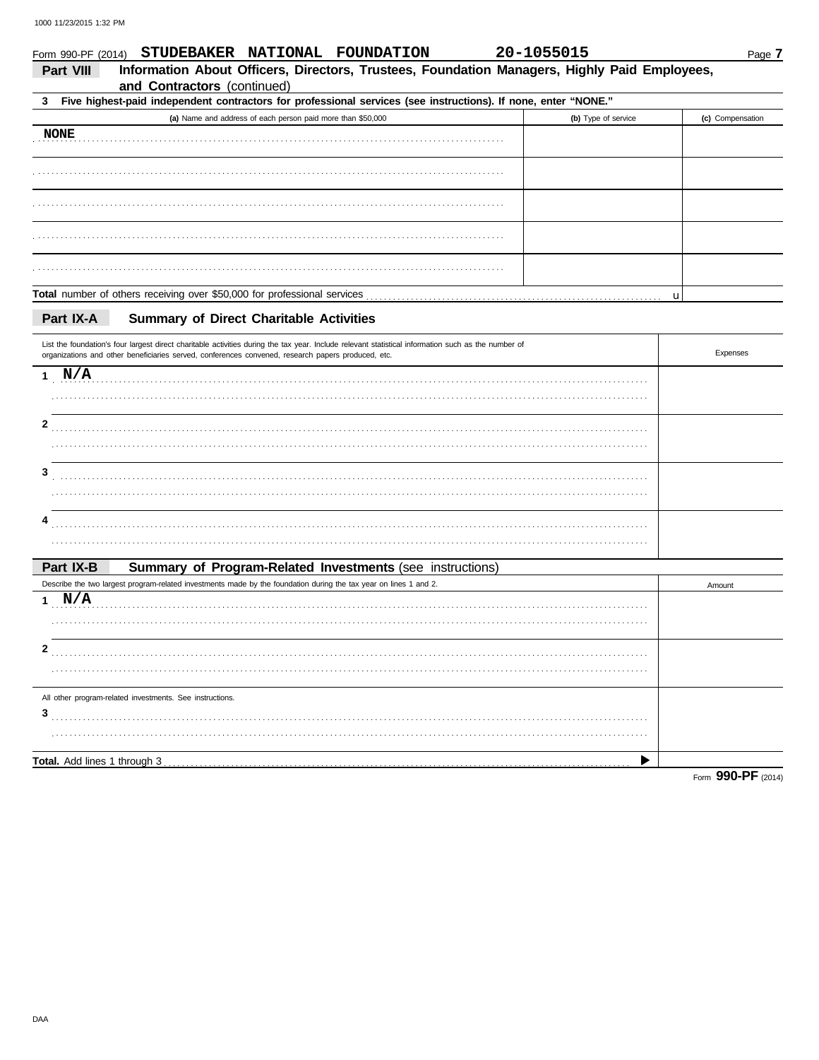| Form 990-PF (2014)           | STUDEBAKER NATIONAL FOUNDATION                                                                                                                                                                                                                            | 20-1055015 |                     | Page 7           |
|------------------------------|-----------------------------------------------------------------------------------------------------------------------------------------------------------------------------------------------------------------------------------------------------------|------------|---------------------|------------------|
| Part VIII                    | Information About Officers, Directors, Trustees, Foundation Managers, Highly Paid Employees,<br>and Contractors (continued)                                                                                                                               |            |                     |                  |
| 3                            | Five highest-paid independent contractors for professional services (see instructions). If none, enter "NONE."                                                                                                                                            |            |                     |                  |
|                              | (a) Name and address of each person paid more than \$50,000                                                                                                                                                                                               |            | (b) Type of service | (c) Compensation |
| <b>NONE</b>                  |                                                                                                                                                                                                                                                           |            |                     |                  |
|                              |                                                                                                                                                                                                                                                           |            |                     |                  |
|                              |                                                                                                                                                                                                                                                           |            |                     |                  |
|                              |                                                                                                                                                                                                                                                           |            |                     |                  |
|                              |                                                                                                                                                                                                                                                           |            |                     |                  |
|                              |                                                                                                                                                                                                                                                           |            |                     | u                |
| Part IX-A                    | <b>Summary of Direct Charitable Activities</b>                                                                                                                                                                                                            |            |                     |                  |
|                              | List the foundation's four largest direct charitable activities during the tax year. Include relevant statistical information such as the number of<br>organizations and other beneficiaries served, conferences convened, research papers produced, etc. |            |                     | Expenses         |
| 1 N/A                        |                                                                                                                                                                                                                                                           |            |                     |                  |
|                              |                                                                                                                                                                                                                                                           |            |                     |                  |
| 2                            |                                                                                                                                                                                                                                                           |            |                     |                  |
|                              |                                                                                                                                                                                                                                                           |            |                     |                  |
| 3                            |                                                                                                                                                                                                                                                           |            |                     |                  |
|                              |                                                                                                                                                                                                                                                           |            |                     |                  |
| 4                            |                                                                                                                                                                                                                                                           |            |                     |                  |
|                              |                                                                                                                                                                                                                                                           |            |                     |                  |
| Part IX-B                    | Summary of Program-Related Investments (see instructions)                                                                                                                                                                                                 |            |                     |                  |
|                              | Describe the two largest program-related investments made by the foundation during the tax year on lines 1 and 2.                                                                                                                                         |            |                     | Amount           |
| 1 $N/A$                      |                                                                                                                                                                                                                                                           |            |                     |                  |
|                              |                                                                                                                                                                                                                                                           |            |                     |                  |
| 2                            |                                                                                                                                                                                                                                                           |            |                     |                  |
|                              |                                                                                                                                                                                                                                                           |            |                     |                  |
|                              | All other program-related investments. See instructions.                                                                                                                                                                                                  |            |                     |                  |
| 3                            |                                                                                                                                                                                                                                                           |            |                     |                  |
|                              |                                                                                                                                                                                                                                                           |            |                     |                  |
| Total. Add lines 1 through 3 |                                                                                                                                                                                                                                                           |            |                     |                  |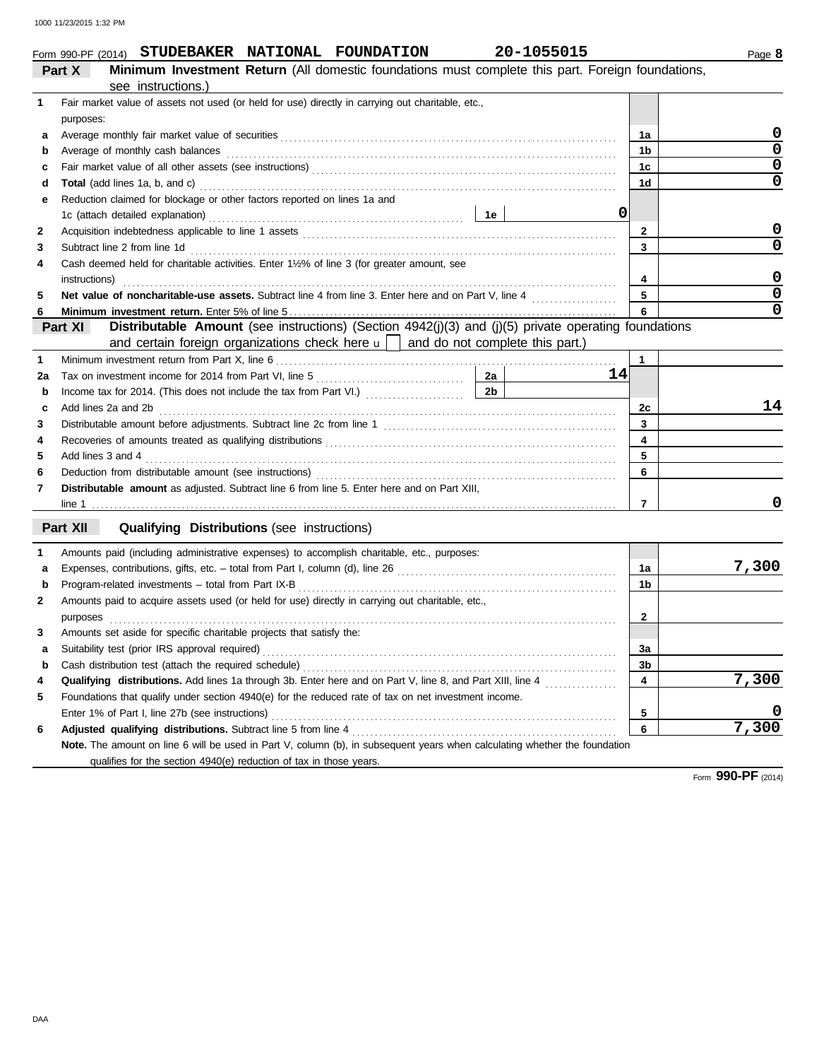|                    |  | Form 990-PF (2014) STUDEBAKER NATIONAL FOUNDATION  |
|--------------------|--|----------------------------------------------------|
| $P_{\text{out}}$ V |  | Minimum Inventment Deturn (All democin foundations |

|    | Minimum Investment Return (All domestic foundations must complete this part. Foreign foundations,<br>Part X                                                                                                                        |                         |       |
|----|------------------------------------------------------------------------------------------------------------------------------------------------------------------------------------------------------------------------------------|-------------------------|-------|
|    | see instructions.)                                                                                                                                                                                                                 |                         |       |
| 1  | Fair market value of assets not used (or held for use) directly in carrying out charitable, etc.,                                                                                                                                  |                         |       |
|    | purposes:                                                                                                                                                                                                                          |                         |       |
| a  |                                                                                                                                                                                                                                    | 1a                      | U     |
| b  | Average of monthly cash balances entertainment and a statement of monthly cash balances                                                                                                                                            | 1b                      | 0     |
| c  |                                                                                                                                                                                                                                    | 1c                      | 0     |
| d  |                                                                                                                                                                                                                                    | 1d                      | 0     |
|    | Reduction claimed for blockage or other factors reported on lines 1a and                                                                                                                                                           |                         |       |
|    | 0                                                                                                                                                                                                                                  |                         |       |
| 2  |                                                                                                                                                                                                                                    | $\mathbf{2}$            | 0     |
| З  |                                                                                                                                                                                                                                    | 3                       | 0     |
| 4  | Cash deemed held for charitable activities. Enter 11/2% of line 3 (for greater amount, see                                                                                                                                         |                         |       |
|    | instructions)                                                                                                                                                                                                                      | 4                       | 0     |
| 5  |                                                                                                                                                                                                                                    | 5                       | 0     |
| 6  |                                                                                                                                                                                                                                    | 6                       | 0     |
|    | Distributable Amount (see instructions) (Section 4942(j)(3) and (j)(5) private operating foundations<br>Part XI                                                                                                                    |                         |       |
|    | and certain foreign organizations check here $\mathbf{u}$   and do not complete this part.)                                                                                                                                        |                         |       |
| 1  |                                                                                                                                                                                                                                    | $\mathbf{1}$            |       |
| 2a | Tax on investment income for 2014 from Part VI, line 5<br>14                                                                                                                                                                       |                         |       |
| b  | 2 <sub>b</sub><br>Income tax for 2014. (This does not include the tax from Part VI.) [[[[[[[[[[[[[[[[[[[[[[[[[[[[[[[[[                                                                                                             |                         |       |
| c  | Add lines 2a and 2b <b>contract and 2</b> contract the contract of the contract of the contract of the contract of the contract of the contract of the contract of the contract of the contract of the contract of the contract of | 2c                      | 14    |
| 3  |                                                                                                                                                                                                                                    | 3                       |       |
| 4  |                                                                                                                                                                                                                                    | $\overline{\mathbf{4}}$ |       |
| 5  | Add lines 3 and 4 <b>matures</b> 3 and 4 <b>matures</b> 3 and 4                                                                                                                                                                    | 5                       |       |
| 6  |                                                                                                                                                                                                                                    | 6                       |       |
| 7  | Distributable amount as adjusted. Subtract line 6 from line 5. Enter here and on Part XIII,                                                                                                                                        |                         |       |
|    |                                                                                                                                                                                                                                    | $\overline{7}$          |       |
|    | Part XII<br><b>Qualifying Distributions (see instructions)</b>                                                                                                                                                                     |                         |       |
|    |                                                                                                                                                                                                                                    |                         |       |
| 1  | Amounts paid (including administrative expenses) to accomplish charitable, etc., purposes:                                                                                                                                         |                         |       |
| a  |                                                                                                                                                                                                                                    | 1a                      | 7,300 |
| b  |                                                                                                                                                                                                                                    | 1b                      |       |
| 2  | Amounts paid to acquire assets used (or held for use) directly in carrying out charitable, etc.,                                                                                                                                   |                         |       |
|    | purposes                                                                                                                                                                                                                           | $\mathbf{2}$            |       |
| з  | Amounts set aside for specific charitable projects that satisfy the:                                                                                                                                                               |                         |       |
| а  |                                                                                                                                                                                                                                    | За                      |       |
| b  | Cash distribution test (attach the required schedule)                                                                                                                                                                              | 3b                      |       |
| 4  | Qualifying distributions. Add lines 1a through 3b. Enter here and on Part V, line 8, and Part XIII, line 4                                                                                                                         | 4                       | 7,300 |
| 5  | Foundations that qualify under section 4940(e) for the reduced rate of tax on net investment income.                                                                                                                               |                         |       |
|    | Enter 1% of Part I, line 27b (see instructions)                                                                                                                                                                                    | 5                       |       |
| 6  |                                                                                                                                                                                                                                    | 6                       | 7,300 |
|    | Note. The amount on line 6 will be used in Part V, column (b), in subsequent years when calculating whether the foundation                                                                                                         |                         |       |
|    | qualifies for the section 4940(e) reduction of tax in those years.                                                                                                                                                                 |                         |       |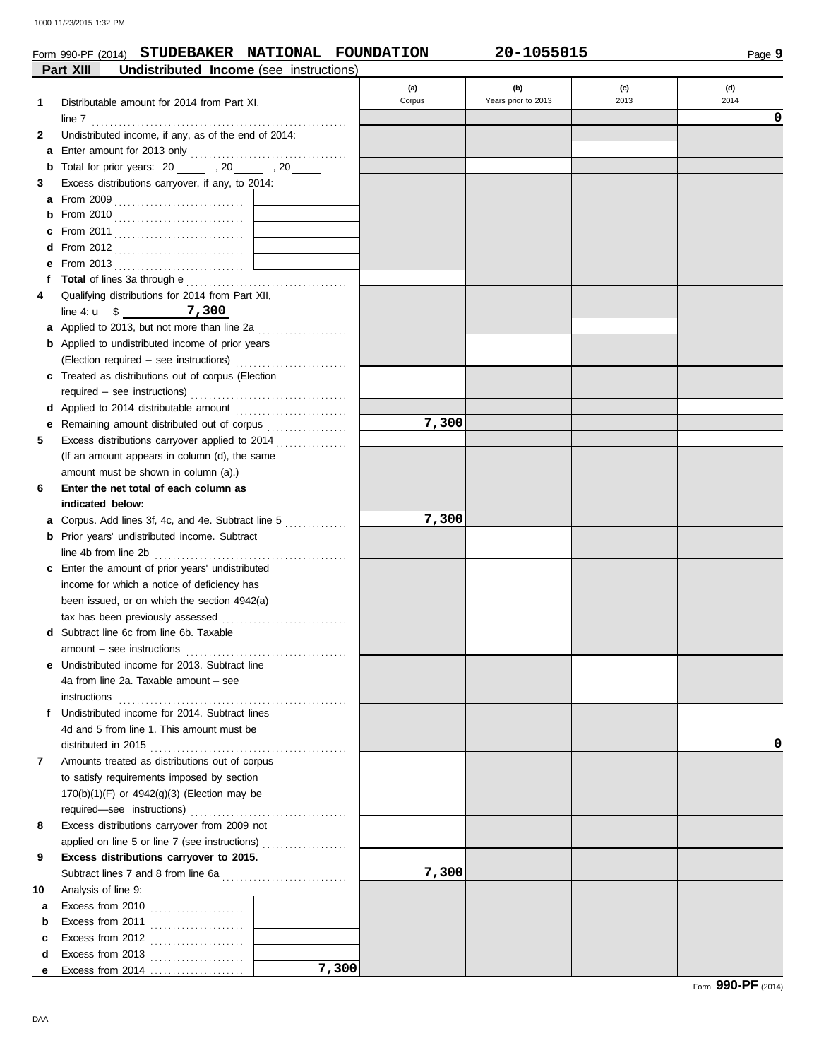### Form 990-PF (2014) **STUDEBAKER NATIONAL FOUNDATION 20-1055015**

Page **9**

|    | Part XIII<br><b>Undistributed Income</b> (see instructions)                                                          |        |                     |      |      |
|----|----------------------------------------------------------------------------------------------------------------------|--------|---------------------|------|------|
|    |                                                                                                                      | (a)    | (b)                 | (c)  | (d)  |
| 1  | Distributable amount for 2014 from Part XI,                                                                          | Corpus | Years prior to 2013 | 2013 | 2014 |
|    | line 7                                                                                                               |        |                     |      | 0    |
| 2  | Undistributed income, if any, as of the end of 2014:                                                                 |        |                     |      |      |
|    |                                                                                                                      |        |                     |      |      |
| b  | Total for prior years: 20 ______ , 20 _____ , 20 _____                                                               |        |                     |      |      |
| 3  | Excess distributions carryover, if any, to 2014:                                                                     |        |                     |      |      |
|    |                                                                                                                      |        |                     |      |      |
| b  |                                                                                                                      |        |                     |      |      |
| c  |                                                                                                                      |        |                     |      |      |
| d  |                                                                                                                      |        |                     |      |      |
| е  | From 2013 $\ldots$                                                                                                   |        |                     |      |      |
| f  |                                                                                                                      |        |                     |      |      |
| 4  | Qualifying distributions for 2014 from Part XII,                                                                     |        |                     |      |      |
|    | line 4: $\mu$ \$ 7,300                                                                                               |        |                     |      |      |
|    | <b>a</b> Applied to 2013, but not more than line 2a $\ldots$                                                         |        |                     |      |      |
|    | <b>b</b> Applied to undistributed income of prior years                                                              |        |                     |      |      |
|    | (Election required - see instructions)                                                                               |        |                     |      |      |
|    | c Treated as distributions out of corpus (Election                                                                   |        |                     |      |      |
|    |                                                                                                                      |        |                     |      |      |
|    |                                                                                                                      |        |                     |      |      |
| е  | Remaining amount distributed out of corpus [11] [11] Remaining amount distributed out of corpus [11] Amont Remaining | 7,300  |                     |      |      |
| 5  | Excess distributions carryover applied to 2014                                                                       |        |                     |      |      |
|    | (If an amount appears in column (d), the same                                                                        |        |                     |      |      |
|    | amount must be shown in column (a).)                                                                                 |        |                     |      |      |
| 6  | Enter the net total of each column as                                                                                |        |                     |      |      |
|    | indicated below:                                                                                                     |        |                     |      |      |
|    | Corpus. Add lines 3f, 4c, and 4e. Subtract line 5                                                                    | 7,300  |                     |      |      |
| a  | <b>b</b> Prior years' undistributed income. Subtract                                                                 |        |                     |      |      |
|    |                                                                                                                      |        |                     |      |      |
|    | line 4b from line 2b                                                                                                 |        |                     |      |      |
|    | <b>c</b> Enter the amount of prior years' undistributed                                                              |        |                     |      |      |
|    | income for which a notice of deficiency has                                                                          |        |                     |      |      |
|    | been issued, or on which the section 4942(a)                                                                         |        |                     |      |      |
|    | tax has been previously assessed                                                                                     |        |                     |      |      |
|    | <b>d</b> Subtract line 6c from line 6b. Taxable                                                                      |        |                     |      |      |
|    | $amount - see instructions$                                                                                          |        |                     |      |      |
|    | e Undistributed income for 2013. Subtract line                                                                       |        |                     |      |      |
|    | 4a from line 2a. Taxable amount - see                                                                                |        |                     |      |      |
|    | instructions                                                                                                         |        |                     |      |      |
|    | f Undistributed income for 2014. Subtract lines                                                                      |        |                     |      |      |
|    | 4d and 5 from line 1. This amount must be                                                                            |        |                     |      |      |
|    |                                                                                                                      |        |                     |      | 0    |
| 7  | Amounts treated as distributions out of corpus                                                                       |        |                     |      |      |
|    | to satisfy requirements imposed by section                                                                           |        |                     |      |      |
|    | 170(b)(1)(F) or 4942(g)(3) (Election may be                                                                          |        |                     |      |      |
|    |                                                                                                                      |        |                     |      |      |
| 8  | Excess distributions carryover from 2009 not                                                                         |        |                     |      |      |
|    | applied on line 5 or line 7 (see instructions)                                                                       |        |                     |      |      |
| 9  | Excess distributions carryover to 2015.                                                                              |        |                     |      |      |
|    |                                                                                                                      | 7,300  |                     |      |      |
| 10 | Analysis of line 9:                                                                                                  |        |                     |      |      |
| а  | Excess from 2010 $\ldots$                                                                                            |        |                     |      |      |
| b  | Excess from 2011                                                                                                     |        |                     |      |      |
| c  | Excess from 2012 $\ldots$                                                                                            |        |                     |      |      |
| d  | Excess from 2013                                                                                                     |        |                     |      |      |
| е  | 7,300<br>Excess from $2014$                                                                                          |        |                     |      |      |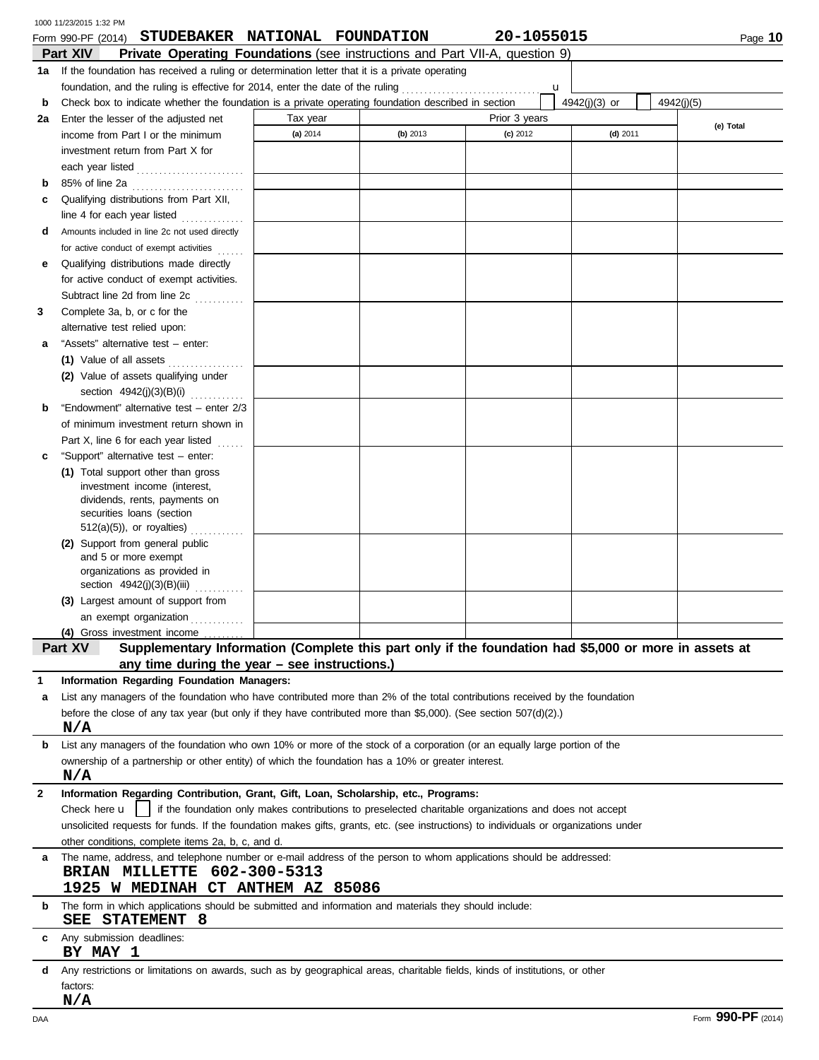|              | 1000 11/23/2015 1:32 PM                                                                                                              |          |          |                                                                                                        |               |                    |
|--------------|--------------------------------------------------------------------------------------------------------------------------------------|----------|----------|--------------------------------------------------------------------------------------------------------|---------------|--------------------|
|              | STUDEBAKER NATIONAL FOUNDATION<br>Form 990-PF (2014)<br>Private Operating Foundations (see instructions and Part VII-A, question 9)  |          |          | 20-1055015                                                                                             |               | Page 10            |
| 1а           | Part XIV<br>If the foundation has received a ruling or determination letter that it is a private operating                           |          |          |                                                                                                        |               |                    |
|              | foundation, and the ruling is effective for 2014, enter the date of the ruling [[[[[[[[[[[[[[[[[[[[[[[[[[[[[[                        |          |          | u                                                                                                      |               |                    |
| b            | Check box to indicate whether the foundation is a private operating foundation described in section                                  |          |          |                                                                                                        | 4942(j)(3) or | 4942(j)(5)         |
| 2a           | Enter the lesser of the adjusted net                                                                                                 | Tax year |          | Prior 3 years                                                                                          |               |                    |
|              | income from Part I or the minimum                                                                                                    | (a) 2014 | (b) 2013 | $(c)$ 2012                                                                                             | $(d)$ 2011    | (e) Total          |
|              | investment return from Part X for                                                                                                    |          |          |                                                                                                        |               |                    |
|              | each year listed                                                                                                                     |          |          |                                                                                                        |               |                    |
| b            | 85% of line 2a                                                                                                                       |          |          |                                                                                                        |               |                    |
| c            | Qualifying distributions from Part XII,                                                                                              |          |          |                                                                                                        |               |                    |
|              | line 4 for each year listed                                                                                                          |          |          |                                                                                                        |               |                    |
| d            | Amounts included in line 2c not used directly                                                                                        |          |          |                                                                                                        |               |                    |
|              | for active conduct of exempt activities<br>$\ldots$ .                                                                                |          |          |                                                                                                        |               |                    |
| е            | Qualifying distributions made directly                                                                                               |          |          |                                                                                                        |               |                    |
|              | for active conduct of exempt activities.                                                                                             |          |          |                                                                                                        |               |                    |
|              | Subtract line 2d from line 2c<br>in de la partida                                                                                    |          |          |                                                                                                        |               |                    |
| 3            | Complete 3a, b, or c for the                                                                                                         |          |          |                                                                                                        |               |                    |
|              | alternative test relied upon:                                                                                                        |          |          |                                                                                                        |               |                    |
| а            | "Assets" alternative test - enter:                                                                                                   |          |          |                                                                                                        |               |                    |
|              | (1) Value of all assets                                                                                                              |          |          |                                                                                                        |               |                    |
|              | (2) Value of assets qualifying under                                                                                                 |          |          |                                                                                                        |               |                    |
|              | section 4942(j)(3)(B)(i)                                                                                                             |          |          |                                                                                                        |               |                    |
| b            | "Endowment" alternative test - enter 2/3                                                                                             |          |          |                                                                                                        |               |                    |
|              | of minimum investment return shown in                                                                                                |          |          |                                                                                                        |               |                    |
|              | Part X, line 6 for each year listed<br>$\ldots$                                                                                      |          |          |                                                                                                        |               |                    |
| c            | "Support" alternative test - enter:                                                                                                  |          |          |                                                                                                        |               |                    |
|              | (1) Total support other than gross                                                                                                   |          |          |                                                                                                        |               |                    |
|              | investment income (interest,                                                                                                         |          |          |                                                                                                        |               |                    |
|              | dividends, rents, payments on                                                                                                        |          |          |                                                                                                        |               |                    |
|              | securities loans (section<br>$512(a)(5)$ , or royalties)                                                                             |          |          |                                                                                                        |               |                    |
|              | (2) Support from general public                                                                                                      |          |          |                                                                                                        |               |                    |
|              | and 5 or more exempt                                                                                                                 |          |          |                                                                                                        |               |                    |
|              | organizations as provided in                                                                                                         |          |          |                                                                                                        |               |                    |
|              | section 4942(j)(3)(B)(iii)                                                                                                           |          |          |                                                                                                        |               |                    |
|              | (3) Largest amount of support from                                                                                                   |          |          |                                                                                                        |               |                    |
|              | an exempt organization                                                                                                               |          |          |                                                                                                        |               |                    |
|              | (4) Gross investment income                                                                                                          |          |          |                                                                                                        |               |                    |
|              | Supplementary Information (Complete this part only if the foundation had \$5,000 or more in assets at<br>Part XV                     |          |          |                                                                                                        |               |                    |
|              | any time during the year - see instructions.)                                                                                        |          |          |                                                                                                        |               |                    |
| 1            | Information Regarding Foundation Managers:                                                                                           |          |          |                                                                                                        |               |                    |
| a            | List any managers of the foundation who have contributed more than 2% of the total contributions received by the foundation          |          |          |                                                                                                        |               |                    |
|              | before the close of any tax year (but only if they have contributed more than \$5,000). (See section $507(d)(2)$ .)                  |          |          |                                                                                                        |               |                    |
|              | N/A                                                                                                                                  |          |          |                                                                                                        |               |                    |
| b            | List any managers of the foundation who own 10% or more of the stock of a corporation (or an equally large portion of the            |          |          |                                                                                                        |               |                    |
|              | ownership of a partnership or other entity) of which the foundation has a 10% or greater interest.<br>N/A                            |          |          |                                                                                                        |               |                    |
| $\mathbf{2}$ | Information Regarding Contribution, Grant, Gift, Loan, Scholarship, etc., Programs:                                                  |          |          |                                                                                                        |               |                    |
|              | Check here $\mathsf{u}$                                                                                                              |          |          | if the foundation only makes contributions to preselected charitable organizations and does not accept |               |                    |
|              | unsolicited requests for funds. If the foundation makes gifts, grants, etc. (see instructions) to individuals or organizations under |          |          |                                                                                                        |               |                    |
|              | other conditions, complete items 2a, b, c, and d.                                                                                    |          |          |                                                                                                        |               |                    |
| a            | The name, address, and telephone number or e-mail address of the person to whom applications should be addressed:                    |          |          |                                                                                                        |               |                    |
|              | BRIAN MILLETTE 602-300-5313                                                                                                          |          |          |                                                                                                        |               |                    |
|              | 1925 W MEDINAH CT ANTHEM AZ 85086                                                                                                    |          |          |                                                                                                        |               |                    |
| b            | The form in which applications should be submitted and information and materials they should include:                                |          |          |                                                                                                        |               |                    |
|              | SEE STATEMENT 8                                                                                                                      |          |          |                                                                                                        |               |                    |
|              | Any submission deadlines:                                                                                                            |          |          |                                                                                                        |               |                    |
|              | BY MAY 1                                                                                                                             |          |          |                                                                                                        |               |                    |
| d            | Any restrictions or limitations on awards, such as by geographical areas, charitable fields, kinds of institutions, or other         |          |          |                                                                                                        |               |                    |
|              | factors:                                                                                                                             |          |          |                                                                                                        |               |                    |
|              | N/A                                                                                                                                  |          |          |                                                                                                        |               |                    |
| DAA          |                                                                                                                                      |          |          |                                                                                                        |               | Form 990-PF (2014) |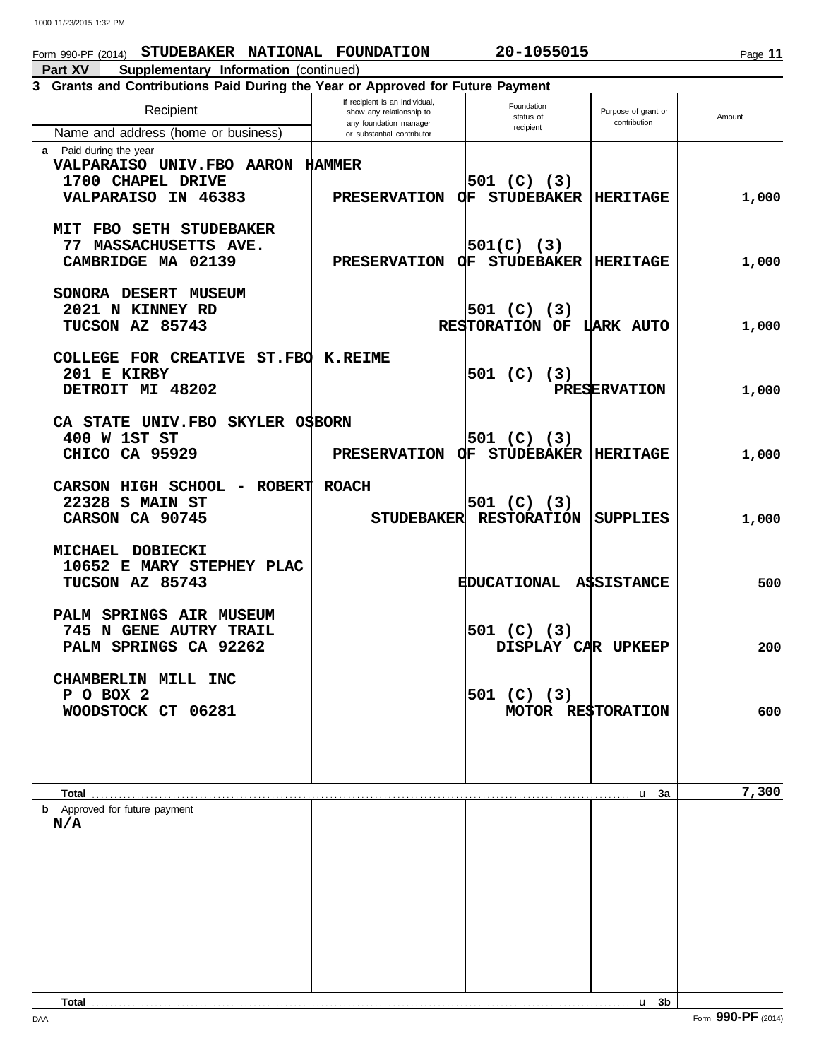### Form 990-PF (2014) **STUDEBAKER NATIONAL FOUNDATION 20-1055015**

**Part XV Supplementary Information** (continued)

### Foundation<br>status of Purpose of grant or Amount<br>recipient contribution Recipient any foundation manager or substantial contributor Recipient Name and address (home or business) **3 Grants and Contributions Paid During the Year or Approved for Future Payment a** Paid during the year If recipient is an individual,  $\begin{array}{ccc} \n\text{Founded} \\
\text{show any relationship to} \\
\text{Founded} \\
\text{Founded} \\
\text{Simplifying the equation}\n\end{array}$

| a raiu uuliily liie yeal              |                                         |                                 |                     |       |
|---------------------------------------|-----------------------------------------|---------------------------------|---------------------|-------|
| VALPARAISO UNIV.FBO AARON HAMMER      |                                         |                                 |                     |       |
| 1700 CHAPEL DRIVE                     |                                         | 501 (C) (3)                     |                     |       |
| VALPARAISO IN 46383                   | PRESERVATION $Q$ F STUDEBAKER  HERITAGE |                                 |                     | 1,000 |
|                                       |                                         |                                 |                     |       |
| MIT FBO SETH STUDEBAKER               |                                         |                                 |                     |       |
| 77 MASSACHUSETTS AVE.                 |                                         | 501(C) (3)                      |                     |       |
|                                       |                                         |                                 |                     |       |
| CAMBRIDGE MA 02139                    | PRESERVATION OF STUDEBAKER  HERITAGE    |                                 |                     | 1,000 |
|                                       |                                         |                                 |                     |       |
| SONORA DESERT MUSEUM                  |                                         |                                 |                     |       |
| 2021 N KINNEY RD                      |                                         | 501 (C) (3)                     |                     |       |
| TUCSON AZ 85743                       |                                         | RESTORATION OF LARK AUTO        |                     | 1,000 |
|                                       |                                         |                                 |                     |       |
| COLLEGE FOR CREATIVE ST. FBO K. REIME |                                         |                                 |                     |       |
| 201 E KIRBY                           |                                         |                                 |                     |       |
|                                       |                                         | 501 (C) (3)                     |                     |       |
| DETROIT MI 48202                      |                                         |                                 | <b>PRESERVATION</b> | 1,000 |
|                                       |                                         |                                 |                     |       |
| CA STATE UNIV.FBO SKYLER OSBORN       |                                         |                                 |                     |       |
| 400 W 1ST ST                          |                                         | 501 (C) (3)                     |                     |       |
| CHICO CA 95929                        | PRESERVATION OF STUDEBAKER  HERITAGE    |                                 |                     | 1,000 |
|                                       |                                         |                                 |                     |       |
| CARSON HIGH SCHOOL - ROBERT ROACH     |                                         |                                 |                     |       |
| 22328 S MAIN ST                       |                                         |                                 |                     |       |
|                                       |                                         | 501 (C) (3)                     |                     |       |
| CARSON CA 90745                       |                                         | STUDEBAKER RESTORATION SUPPLIES |                     | 1,000 |
|                                       |                                         |                                 |                     |       |
| MICHAEL DOBIECKI                      |                                         |                                 |                     |       |
| 10652 E MARY STEPHEY PLAC             |                                         |                                 |                     |       |
| TUCSON AZ 85743                       |                                         | EDUCATIONAL A\$SISTANCE         |                     | 500   |
|                                       |                                         |                                 |                     |       |
| PALM SPRINGS AIR MUSEUM               |                                         |                                 |                     |       |
| 745 N GENE AUTRY TRAIL                |                                         | 501 (C) (3)                     |                     |       |
|                                       |                                         |                                 |                     |       |
| PALM SPRINGS CA 92262                 |                                         | DISPLAY CAR UPKEEP              |                     | 200   |
|                                       |                                         |                                 |                     |       |
| CHAMBERLIN MILL INC                   |                                         |                                 |                     |       |
| P O BOX 2                             |                                         | 501 (C) (3)                     |                     |       |
| WOODSTOCK CT 06281                    |                                         | MOTOR RESTORATION               |                     | 600   |
|                                       |                                         |                                 |                     |       |
|                                       |                                         |                                 |                     |       |
|                                       |                                         |                                 |                     |       |
|                                       |                                         |                                 |                     |       |
| Total                                 |                                         |                                 | u 3a                | 7,300 |
| <b>b</b> Approved for future payment  |                                         |                                 |                     |       |
| N/A                                   |                                         |                                 |                     |       |
|                                       |                                         |                                 |                     |       |
|                                       |                                         |                                 |                     |       |
|                                       |                                         |                                 |                     |       |
|                                       |                                         |                                 |                     |       |
|                                       |                                         |                                 |                     |       |
|                                       |                                         |                                 |                     |       |
|                                       |                                         |                                 |                     |       |
|                                       |                                         |                                 |                     |       |
|                                       |                                         |                                 |                     |       |
|                                       |                                         |                                 |                     |       |
|                                       |                                         |                                 |                     |       |
| Total                                 |                                         |                                 | u <sub>3b</sub>     |       |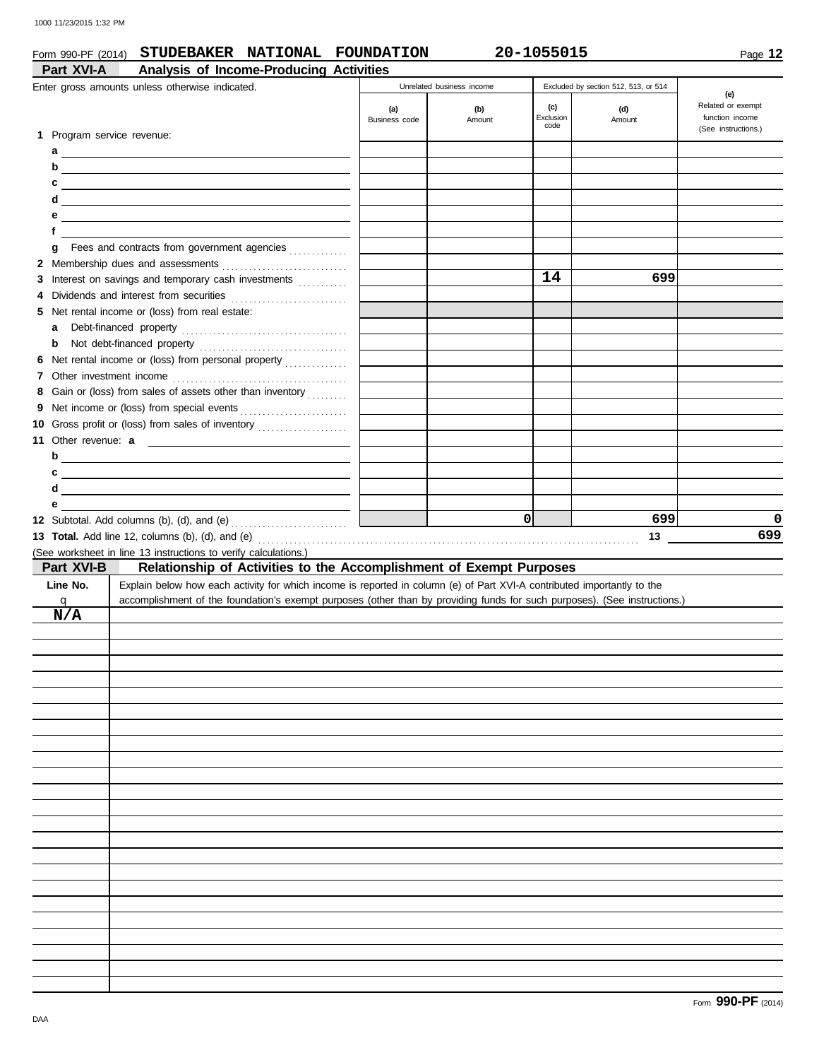### Form 990-PF (2014) **STUDEBAKER NATIONAL FOUNDATION 20-1055015**

| Part XVI-A                 | Analysis of Income-Producing Activities                                                                                   |               |                           |                   |                                      |                     |
|----------------------------|---------------------------------------------------------------------------------------------------------------------------|---------------|---------------------------|-------------------|--------------------------------------|---------------------|
|                            | Enter gross amounts unless otherwise indicated.                                                                           |               | Unrelated business income |                   | Excluded by section 512, 513, or 514 | (e)                 |
|                            |                                                                                                                           | (a)           | (b)                       | (c)               | (d)                                  | Related or exempt   |
|                            |                                                                                                                           | Business code | Amount                    | Exclusion<br>code | Amount                               | function income     |
| 1 Program service revenue: |                                                                                                                           |               |                           |                   |                                      | (See instructions.) |
|                            |                                                                                                                           |               |                           |                   |                                      |                     |
| b                          | <u> 1989 - Johann Harry Barn, mars ar breist fan de Fryske kampen</u>                                                     |               |                           |                   |                                      |                     |
| c                          |                                                                                                                           |               |                           |                   |                                      |                     |
| d                          | <u> 1989 - Johann Barn, mars et al. (b. 1989)</u>                                                                         |               |                           |                   |                                      |                     |
| е                          | <u> 1989 - Johann Barn, mars eta bainar eta idazlea (h. 1989).</u>                                                        |               |                           |                   |                                      |                     |
| f                          |                                                                                                                           |               |                           |                   |                                      |                     |
| g                          | Fees and contracts from government agencies                                                                               |               |                           |                   |                                      |                     |
|                            |                                                                                                                           |               |                           |                   |                                      |                     |
|                            | 3 Interest on savings and temporary cash investments                                                                      |               |                           | 14                | 699                                  |                     |
| 4                          |                                                                                                                           |               |                           |                   |                                      |                     |
|                            | 5 Net rental income or (loss) from real estate:                                                                           |               |                           |                   |                                      |                     |
| a                          |                                                                                                                           |               |                           |                   |                                      |                     |
| b                          |                                                                                                                           |               |                           |                   |                                      |                     |
| 6                          |                                                                                                                           |               |                           |                   |                                      |                     |
|                            |                                                                                                                           |               |                           |                   |                                      |                     |
|                            | 8 Gain or (loss) from sales of assets other than inventory                                                                |               |                           |                   |                                      |                     |
|                            |                                                                                                                           |               |                           |                   |                                      |                     |
|                            | 10 Gross profit or (loss) from sales of inventory                                                                         |               |                           |                   |                                      |                     |
| <b>11 Other revenue: a</b> | <u> The Communication of the Communication</u>                                                                            |               |                           |                   |                                      |                     |
|                            | $\mathsf{b}$                                                                                                              |               |                           |                   |                                      |                     |
| c                          | <u> 1989 - Johann Barn, amerikansk politiker (d. 1989)</u>                                                                |               |                           |                   |                                      |                     |
| d                          | <u> 1989 - Johann Stein, mars an deus Amerikaansk kommunister (</u>                                                       |               |                           |                   |                                      |                     |
| е                          |                                                                                                                           |               |                           |                   |                                      |                     |
|                            |                                                                                                                           |               |                           |                   |                                      |                     |
|                            | 12 Subtotal. Add columns (b), (d), and (e) $\ldots$ $\ldots$ $\ldots$ $\ldots$                                            |               |                           | $\Omega$          | 699                                  |                     |
|                            |                                                                                                                           |               |                           |                   | 13                                   | 0<br>699            |
|                            | (See worksheet in line 13 instructions to verify calculations.)                                                           |               |                           |                   |                                      |                     |
| Part XVI-B                 | Relationship of Activities to the Accomplishment of Exempt Purposes                                                       |               |                           |                   |                                      |                     |
| Line No.                   | Explain below how each activity for which income is reported in column (e) of Part XVI-A contributed importantly to the   |               |                           |                   |                                      |                     |
| q                          | accomplishment of the foundation's exempt purposes (other than by providing funds for such purposes). (See instructions.) |               |                           |                   |                                      |                     |
| N/A                        |                                                                                                                           |               |                           |                   |                                      |                     |
|                            |                                                                                                                           |               |                           |                   |                                      |                     |
|                            |                                                                                                                           |               |                           |                   |                                      |                     |
|                            |                                                                                                                           |               |                           |                   |                                      |                     |
|                            |                                                                                                                           |               |                           |                   |                                      |                     |
|                            |                                                                                                                           |               |                           |                   |                                      |                     |
|                            |                                                                                                                           |               |                           |                   |                                      |                     |
|                            |                                                                                                                           |               |                           |                   |                                      |                     |
|                            |                                                                                                                           |               |                           |                   |                                      |                     |
|                            |                                                                                                                           |               |                           |                   |                                      |                     |
|                            |                                                                                                                           |               |                           |                   |                                      |                     |
|                            |                                                                                                                           |               |                           |                   |                                      |                     |
|                            |                                                                                                                           |               |                           |                   |                                      |                     |
|                            |                                                                                                                           |               |                           |                   |                                      |                     |
|                            |                                                                                                                           |               |                           |                   |                                      |                     |
|                            |                                                                                                                           |               |                           |                   |                                      |                     |
|                            |                                                                                                                           |               |                           |                   |                                      |                     |
|                            |                                                                                                                           |               |                           |                   |                                      |                     |
|                            |                                                                                                                           |               |                           |                   |                                      |                     |
|                            |                                                                                                                           |               |                           |                   |                                      |                     |
|                            |                                                                                                                           |               |                           |                   |                                      |                     |
|                            |                                                                                                                           |               |                           |                   |                                      |                     |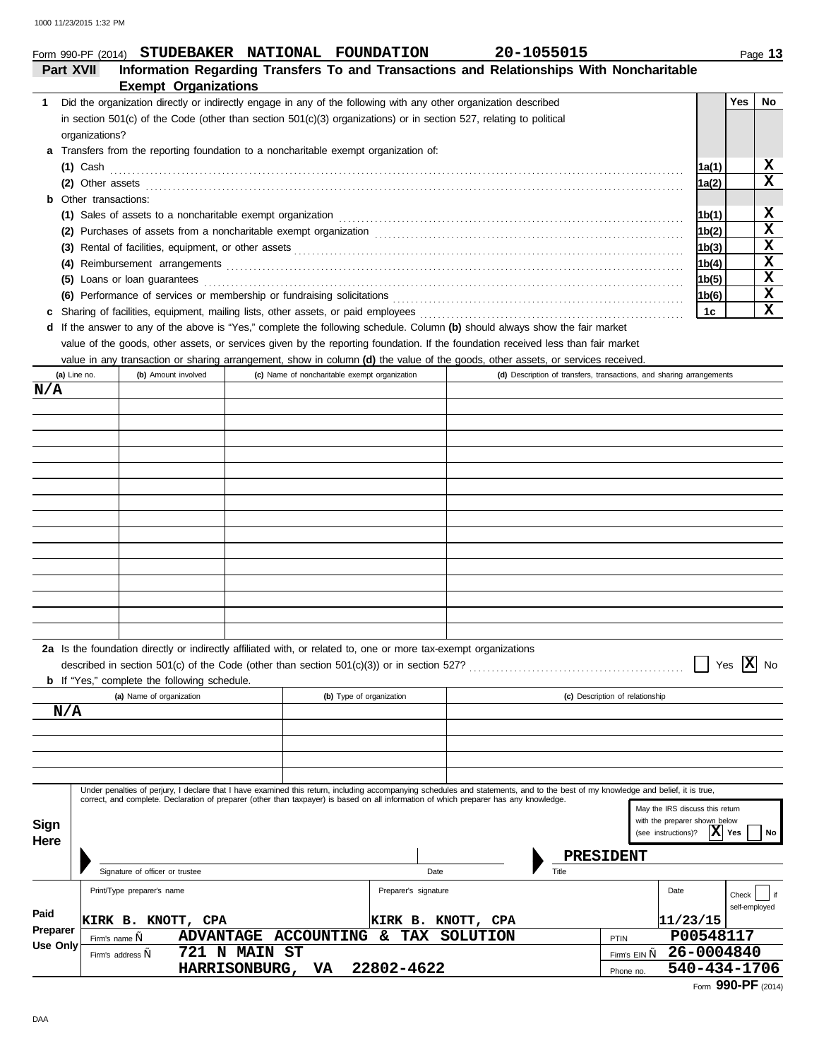# Form 990-PF (2014) **STUDEBAKER NATIONAL FOUNDATION 20-1055015**

|    | <b>Part XVII</b>                                                                                                                          |                                               | Information Regarding Transfers To and Transactions and Relationships With Noncharitable                                                                                                                                       |       |            |    |
|----|-------------------------------------------------------------------------------------------------------------------------------------------|-----------------------------------------------|--------------------------------------------------------------------------------------------------------------------------------------------------------------------------------------------------------------------------------|-------|------------|----|
|    | <b>Exempt Organizations</b>                                                                                                               |                                               |                                                                                                                                                                                                                                |       |            |    |
| 1. | Did the organization directly or indirectly engage in any of the following with any other organization described                          |                                               |                                                                                                                                                                                                                                |       | <b>Yes</b> | No |
|    | in section $501(c)$ of the Code (other than section $501(c)(3)$ organizations) or in section 527, relating to political<br>organizations? |                                               |                                                                                                                                                                                                                                |       |            |    |
|    | Transfers from the reporting foundation to a noncharitable exempt organization of:<br>a                                                   |                                               |                                                                                                                                                                                                                                |       |            |    |
|    | $(1)$ Cash                                                                                                                                |                                               |                                                                                                                                                                                                                                | 1a(1) |            | x  |
|    | (2) Other assets $\ldots$ assets $\ldots$ and $\ldots$ are set of $\ldots$ .                                                              |                                               |                                                                                                                                                                                                                                | 1a(2) |            | x  |
|    | <b>b</b> Other transactions:                                                                                                              |                                               |                                                                                                                                                                                                                                |       |            |    |
|    |                                                                                                                                           |                                               | (1) Sales of assets to a noncharitable exempt organization material content of the set of assets to a noncharitable exempt organization                                                                                        | 1b(1) |            | x  |
|    |                                                                                                                                           |                                               |                                                                                                                                                                                                                                | 1b(2) |            | X  |
|    |                                                                                                                                           |                                               |                                                                                                                                                                                                                                | 1b(3) |            | X  |
|    |                                                                                                                                           |                                               |                                                                                                                                                                                                                                | 1b(4) |            | x  |
|    | (5) Loans or loan guarantees                                                                                                              |                                               |                                                                                                                                                                                                                                | 1b(5) |            | x  |
|    |                                                                                                                                           |                                               | (6) Performance of services or membership or fundraising solicitations [1] content content content of services or membership or fundraising solicitations [1] content content content of the service of the service of the ser | 1b(6) |            | x  |
| c  | Sharing of facilities, equipment, mailing lists, other assets, or paid employees                                                          |                                               |                                                                                                                                                                                                                                | 1c    |            | X  |
| d  | If the answer to any of the above is "Yes," complete the following schedule. Column (b) should always show the fair market                |                                               |                                                                                                                                                                                                                                |       |            |    |
|    | value of the goods, other assets, or services given by the reporting foundation. If the foundation received less than fair market         |                                               |                                                                                                                                                                                                                                |       |            |    |
|    | value in any transaction or sharing arrangement, show in column (d) the value of the goods, other assets, or services received.           |                                               |                                                                                                                                                                                                                                |       |            |    |
|    | (b) Amount involved<br>(a) Line no.                                                                                                       | (c) Name of noncharitable exempt organization | (d) Description of transfers, transactions, and sharing arrangements                                                                                                                                                           |       |            |    |

| (a) Line no.                | (b) Amount involved                                                                                                                                                     | (c) ivame or nonchantable exempt organization |                          |                    | (a) Description of transfers, transactions, and sharing arrangements                                                                                                             |
|-----------------------------|-------------------------------------------------------------------------------------------------------------------------------------------------------------------------|-----------------------------------------------|--------------------------|--------------------|----------------------------------------------------------------------------------------------------------------------------------------------------------------------------------|
| N/A                         |                                                                                                                                                                         |                                               |                          |                    |                                                                                                                                                                                  |
|                             |                                                                                                                                                                         |                                               |                          |                    |                                                                                                                                                                                  |
|                             |                                                                                                                                                                         |                                               |                          |                    |                                                                                                                                                                                  |
|                             |                                                                                                                                                                         |                                               |                          |                    |                                                                                                                                                                                  |
|                             |                                                                                                                                                                         |                                               |                          |                    |                                                                                                                                                                                  |
|                             |                                                                                                                                                                         |                                               |                          |                    |                                                                                                                                                                                  |
|                             |                                                                                                                                                                         |                                               |                          |                    |                                                                                                                                                                                  |
|                             |                                                                                                                                                                         |                                               |                          |                    |                                                                                                                                                                                  |
|                             |                                                                                                                                                                         |                                               |                          |                    |                                                                                                                                                                                  |
|                             |                                                                                                                                                                         |                                               |                          |                    |                                                                                                                                                                                  |
|                             |                                                                                                                                                                         |                                               |                          |                    |                                                                                                                                                                                  |
|                             |                                                                                                                                                                         |                                               |                          |                    |                                                                                                                                                                                  |
|                             |                                                                                                                                                                         |                                               |                          |                    |                                                                                                                                                                                  |
|                             |                                                                                                                                                                         |                                               |                          |                    |                                                                                                                                                                                  |
|                             |                                                                                                                                                                         |                                               |                          |                    |                                                                                                                                                                                  |
|                             | 2a Is the foundation directly or indirectly affiliated with, or related to, one or more tax-exempt organizations<br><b>b</b> If "Yes," complete the following schedule. |                                               |                          |                    | Yes $\overline{X}$ No                                                                                                                                                            |
|                             | (a) Name of organization                                                                                                                                                |                                               | (b) Type of organization |                    | (c) Description of relationship                                                                                                                                                  |
| N/A                         |                                                                                                                                                                         |                                               |                          |                    |                                                                                                                                                                                  |
|                             |                                                                                                                                                                         |                                               |                          |                    |                                                                                                                                                                                  |
|                             |                                                                                                                                                                         |                                               |                          |                    |                                                                                                                                                                                  |
|                             |                                                                                                                                                                         |                                               |                          |                    |                                                                                                                                                                                  |
|                             |                                                                                                                                                                         |                                               |                          |                    | Under penalties of perjury, I declare that I have examined this return, including accompanying schedules and statements, and to the best of my knowledge and belief, it is true, |
| Sign<br>Here                | correct, and complete. Declaration of preparer (other than taxpayer) is based on all information of which preparer has any knowledge.                                   |                                               |                          |                    | May the IRS discuss this return<br>with the preparer shown below<br>X Yes<br>(see instructions)?<br>No                                                                           |
|                             |                                                                                                                                                                         |                                               |                          |                    | PRESIDENT                                                                                                                                                                        |
|                             | Signature of officer or trustee                                                                                                                                         |                                               | Date                     | Title              |                                                                                                                                                                                  |
|                             | Print/Type preparer's name                                                                                                                                              |                                               | Preparer's signature     |                    | Date<br>Check<br>l if<br>self-employed                                                                                                                                           |
| Paid                        | KIRK B. KNOTT, CPA                                                                                                                                                      |                                               |                          | KIRK B. KNOTT, CPA | 11/23/15                                                                                                                                                                         |
| Preparer<br><b>Use Only</b> | Firm's name $\boldsymbol{n}$                                                                                                                                            | ADVANTAGE ACCOUNTING & TAX SOLUTION           |                          |                    | P00548117<br>PTIN                                                                                                                                                                |
|                             | Firm's address "                                                                                                                                                        | 721 N MAIN ST                                 |                          |                    | 26-0004840<br>Firm's $EIN_{\mathbf{w}}$                                                                                                                                          |
|                             |                                                                                                                                                                         | HARRISONBURG, VA                              | 22802-4622               |                    | 540-434-1706<br>Phone no.                                                                                                                                                        |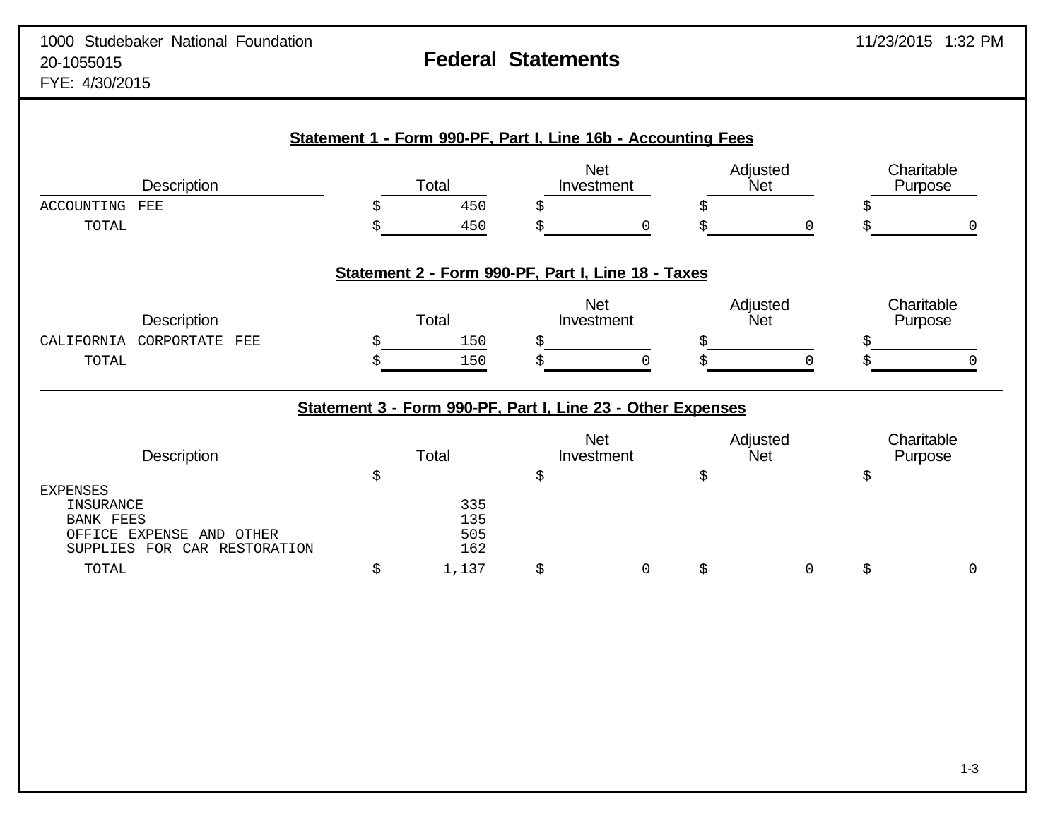| <b>Description</b>                                                                          |    | Total                                                       | <b>Net</b><br>Investment | Adjusted<br>Net        |   | Charitable<br>Purpose |
|---------------------------------------------------------------------------------------------|----|-------------------------------------------------------------|--------------------------|------------------------|---|-----------------------|
| ACCOUNTING<br>FEE                                                                           |    | 450                                                         | Ś                        |                        |   |                       |
| TOTAL                                                                                       | Ś  | 450                                                         |                          |                        | O |                       |
|                                                                                             |    | Statement 2 - Form 990-PF, Part I, Line 18 - Taxes          |                          |                        |   |                       |
| Description                                                                                 |    | Total                                                       | <b>Net</b><br>Investment | Adjusted<br>Net        |   | Charitable<br>Purpose |
| CALIFORNIA<br>CORPORTATE<br>FEE                                                             |    | 150                                                         | Ś                        |                        |   |                       |
| TOTAL                                                                                       |    | 150                                                         |                          | Š                      | U |                       |
|                                                                                             |    | Statement 3 - Form 990-PF, Part I, Line 23 - Other Expenses |                          |                        |   |                       |
| <b>Description</b>                                                                          |    | Total                                                       | <b>Net</b><br>Investment | Adjusted<br><b>Net</b> |   | Charitable<br>Purpose |
|                                                                                             | \$ |                                                             | \$                       | \$                     |   | \$                    |
|                                                                                             |    |                                                             |                          |                        |   |                       |
| <b>INSURANCE</b>                                                                            |    | 335                                                         |                          |                        |   |                       |
| <b>BANK FEES</b>                                                                            |    | 135                                                         |                          |                        |   |                       |
| <b>EXPENSES</b><br>OFFICE EXPENSE<br>AND OTHER<br><b>SUPPLIES</b><br>FOR<br>CAR RESTORATION |    | 505<br>162                                                  |                          |                        |   |                       |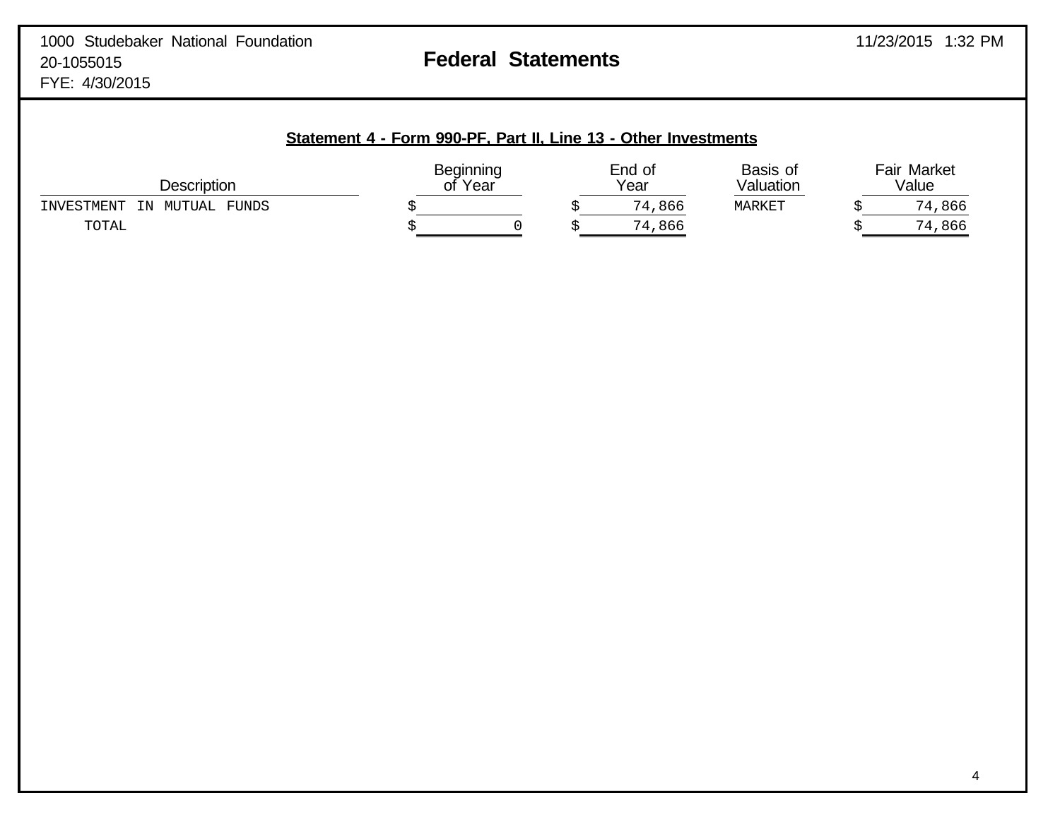| <b>Description</b>                  | ot | Beginning<br>`Year |  | End of<br>Year | Basis of<br>Valuation | <b>Fair Market</b><br>Value |        |
|-------------------------------------|----|--------------------|--|----------------|-----------------------|-----------------------------|--------|
| FUNDS<br>INVESTMENT<br>IN<br>MUTUAL |    |                    |  | 74,866         | MARKET                |                             | 74,866 |
| TOTAL                               |    |                    |  | 74,866         |                       |                             | 74,866 |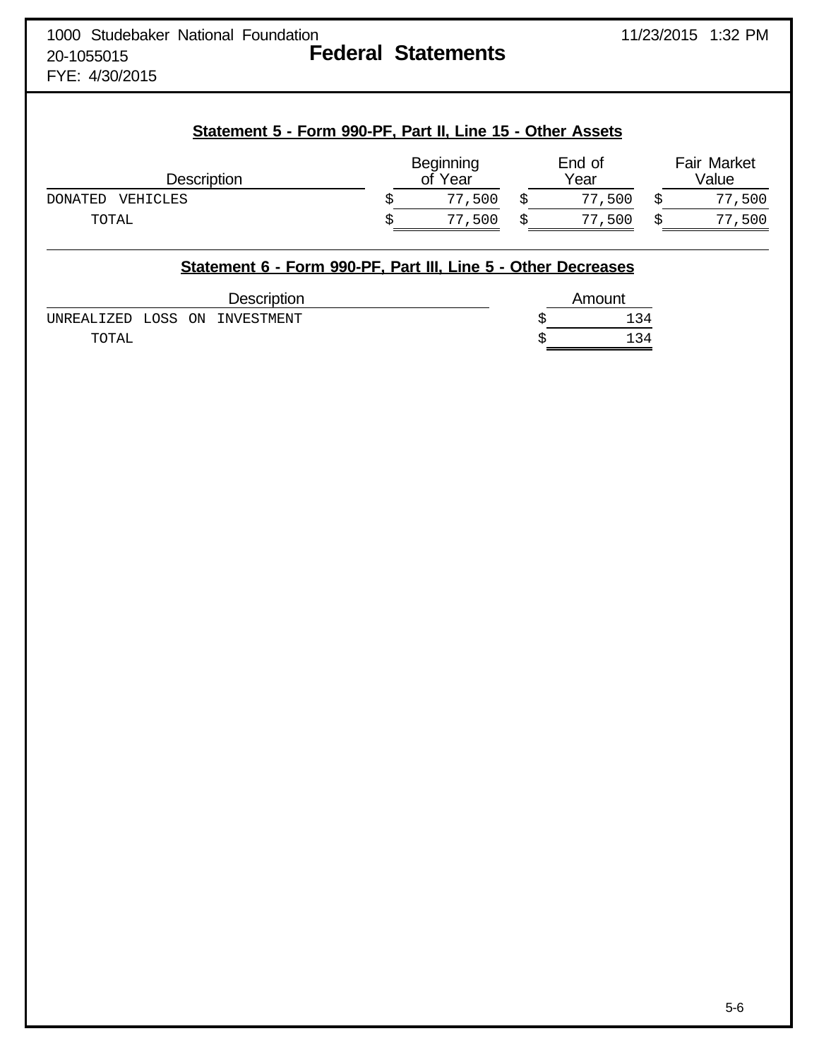| 1000 Studebaker National Foundation |  |                           |
|-------------------------------------|--|---------------------------|
| 20-1055015                          |  | <b>Federal Statements</b> |
| $TVI$ $IIAOIAA$                     |  |                           |

FYE: 4/30/2015

## **Statement 5 - Form 990-PF, Part II, Line 15 - Other Assets**

| Description                | <b>Beginning</b><br>of Year | End of<br>Year | <b>Fair Market</b><br>Value |
|----------------------------|-----------------------------|----------------|-----------------------------|
| VEHICLES<br><b>DONATED</b> | 500<br>77                   | ,500<br>77     | 77,500                      |
| TOTAL                      | 500<br>77                   | 500            | 77,500                      |

|                               |  | Statement 6 - Form 990-PF, Part III, Line 5 - Other Decreases |        |
|-------------------------------|--|---------------------------------------------------------------|--------|
|                               |  | <b>Description</b>                                            | Amount |
| UNREALIZED LOSS ON INVESTMENT |  |                                                               | 134    |
| TOTAL                         |  |                                                               | 134    |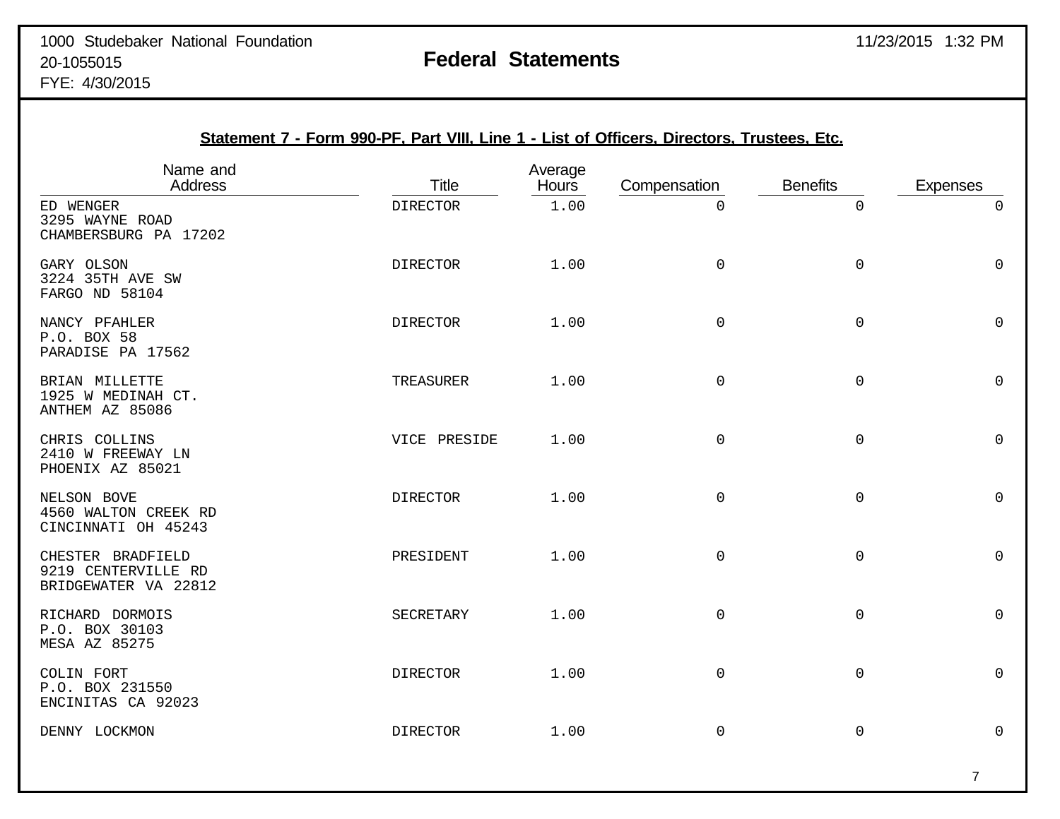| Statement 7 - Form 990-PF, Part VIII, Line 1 - List of Officers, Directors, Trustees, Etc. |                 |                  |                     |                 |                 |  |  |  |
|--------------------------------------------------------------------------------------------|-----------------|------------------|---------------------|-----------------|-----------------|--|--|--|
| Name and<br>Address                                                                        | <b>Title</b>    | Average<br>Hours | Compensation        | <b>Benefits</b> | <b>Expenses</b> |  |  |  |
| ED WENGER<br>3295 WAYNE ROAD<br>CHAMBERSBURG PA 17202                                      | <b>DIRECTOR</b> | 1.00             | 0                   | 0               | $\Omega$        |  |  |  |
| GARY OLSON<br>3224 35TH AVE SW<br>FARGO ND 58104                                           | <b>DIRECTOR</b> | 1.00             | 0                   | $\mathsf{O}$    | $\mathsf 0$     |  |  |  |
| NANCY PFAHLER<br>P.O. BOX 58<br>PARADISE PA 17562                                          | <b>DIRECTOR</b> | 1.00             | $\mathsf{O}\xspace$ | $\mathsf 0$     | $\mathsf{O}$    |  |  |  |
| BRIAN MILLETTE<br>1925 W MEDINAH CT.<br>ANTHEM AZ 85086                                    | TREASURER       | 1.00             | $\mathsf{O}$        | $\mathsf 0$     | $\mathsf{O}$    |  |  |  |
| CHRIS COLLINS<br>2410 W FREEWAY LN<br>PHOENIX AZ 85021                                     | VICE PRESIDE    | 1.00             | 0                   | $\mathsf 0$     | $\mathsf{O}$    |  |  |  |
| NELSON BOVE<br>4560 WALTON CREEK RD<br>CINCINNATI OH 45243                                 | <b>DIRECTOR</b> | 1.00             | 0                   | 0               | 0               |  |  |  |
| CHESTER BRADFIELD<br>9219 CENTERVILLE RD<br>BRIDGEWATER VA 22812                           | PRESIDENT       | 1.00             | $\mathsf 0$         | $\mathbf 0$     | $\mathbf 0$     |  |  |  |
| RICHARD DORMOIS<br>P.O. BOX 30103<br>MESA AZ 85275                                         | SECRETARY       | 1.00             | $\mathsf{O}$        | $\mathsf 0$     | $\mathsf 0$     |  |  |  |
| COLIN FORT<br>P.O. BOX 231550<br>ENCINITAS CA 92023                                        | <b>DIRECTOR</b> | 1.00             | 0                   | $\mathsf 0$     | $\mathsf 0$     |  |  |  |
| DENNY LOCKMON                                                                              | <b>DIRECTOR</b> | 1.00             | 0                   | 0               | $\mathsf 0$     |  |  |  |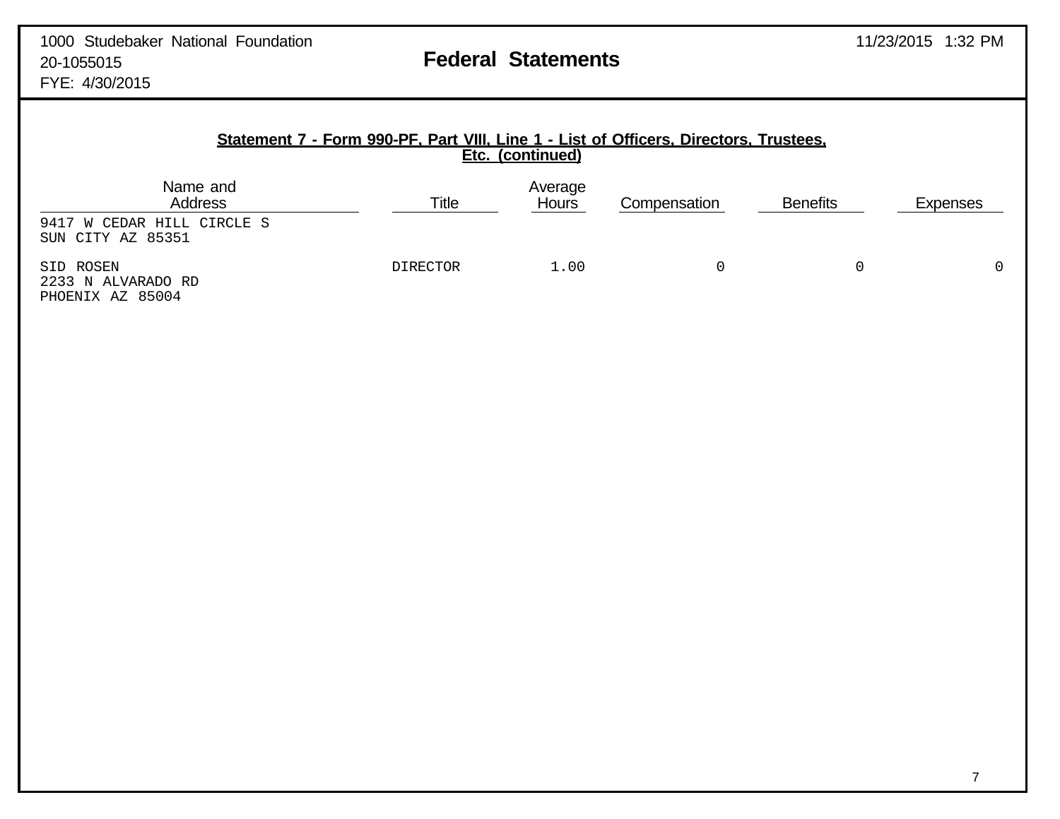| Statement 7 - Form 990-PF, Part VIII, Line 1 - List of Officers, Directors, Trustees,<br>Etc. (continued) |       |                         |              |                 |                 |  |  |  |
|-----------------------------------------------------------------------------------------------------------|-------|-------------------------|--------------|-----------------|-----------------|--|--|--|
| Name and<br><b>Address</b>                                                                                | Title | Average<br><b>Hours</b> | Compensation | <b>Benefits</b> | <b>Expenses</b> |  |  |  |
| 9417 W CEDAR HILL CIRCLE S<br>SUN CITY AZ 85351                                                           |       |                         |              |                 |                 |  |  |  |

SID ROSEN DIRECTOR 1.00 0 0 0 2233 N ALVARADO RD PHOENIX AZ 85004